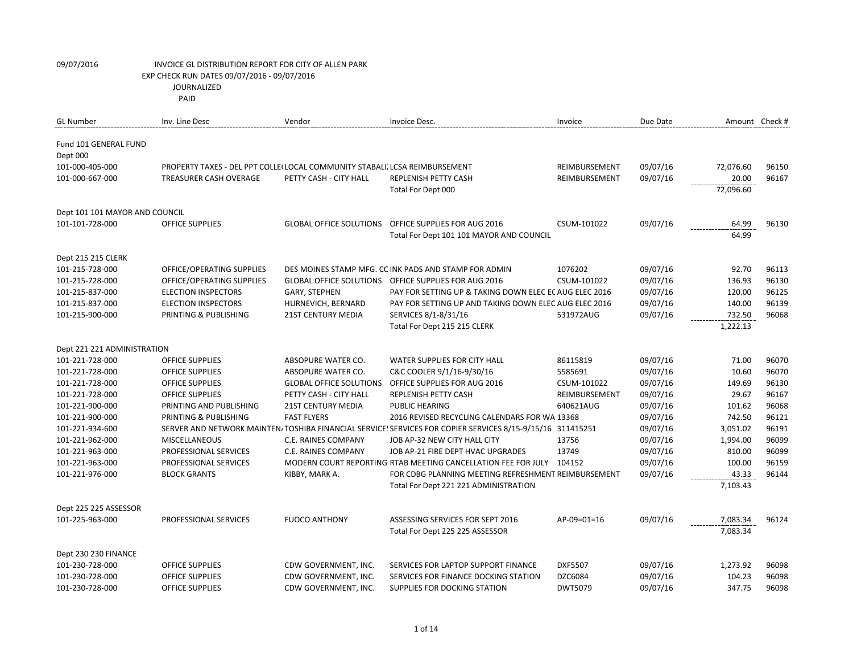| <b>GL Number</b>                         | Inv. Line Desc                                                             | Vendor                         | Invoice Desc.                                                                                             | Invoice        | Due Date | Amount Check # |       |
|------------------------------------------|----------------------------------------------------------------------------|--------------------------------|-----------------------------------------------------------------------------------------------------------|----------------|----------|----------------|-------|
| <b>Fund 101 GENERAL FUND</b><br>Dept 000 |                                                                            |                                |                                                                                                           |                |          |                |       |
| 101-000-405-000                          | PROPERTY TAXES - DEL PPT COLLE(LOCAL COMMUNITY STABALI, LCSA REIMBURSEMENT |                                |                                                                                                           | REIMBURSEMENT  | 09/07/16 | 72,076.60      | 96150 |
| 101-000-667-000                          | <b>TREASURER CASH OVERAGE</b>                                              | PETTY CASH - CITY HALL         | <b>REPLENISH PETTY CASH</b>                                                                               | REIMBURSEMENT  | 09/07/16 | 20.00          | 96167 |
|                                          |                                                                            |                                | Total For Dept 000                                                                                        |                |          | 72,096.60      |       |
| Dept 101 101 MAYOR AND COUNCIL           |                                                                            |                                |                                                                                                           |                |          |                |       |
| 101-101-728-000                          | <b>OFFICE SUPPLIES</b>                                                     | <b>GLOBAL OFFICE SOLUTIONS</b> | OFFICE SUPPLIES FOR AUG 2016                                                                              | CSUM-101022    | 09/07/16 | 64.99          | 96130 |
|                                          |                                                                            |                                | Total For Dept 101 101 MAYOR AND COUNCIL                                                                  |                |          | 64.99          |       |
| Dept 215 215 CLERK                       |                                                                            |                                |                                                                                                           |                |          |                |       |
| 101-215-728-000                          | OFFICE/OPERATING SUPPLIES                                                  |                                | DES MOINES STAMP MFG. CC INK PADS AND STAMP FOR ADMIN                                                     | 1076202        | 09/07/16 | 92.70          | 96113 |
| 101-215-728-000                          | OFFICE/OPERATING SUPPLIES                                                  |                                | GLOBAL OFFICE SOLUTIONS OFFICE SUPPLIES FOR AUG 2016                                                      | CSUM-101022    | 09/07/16 | 136.93         | 96130 |
| 101-215-837-000                          | <b>ELECTION INSPECTORS</b>                                                 | GARY, STEPHEN                  | PAY FOR SETTING UP & TAKING DOWN ELEC ECAUG ELEC 2016                                                     |                | 09/07/16 | 120.00         | 96125 |
| 101-215-837-000                          | <b>ELECTION INSPECTORS</b>                                                 | HURNEVICH, BERNARD             | PAY FOR SETTING UP AND TAKING DOWN ELEC AUG ELEC 2016                                                     |                | 09/07/16 | 140.00         | 96139 |
| 101-215-900-000                          | PRINTING & PUBLISHING                                                      | <b>21ST CENTURY MEDIA</b>      | SERVICES 8/1-8/31/16                                                                                      | 531972AUG      | 09/07/16 | 732.50         | 96068 |
|                                          |                                                                            |                                | Total For Dept 215 215 CLERK                                                                              |                |          | 1,222.13       |       |
| Dept 221 221 ADMINISTRATION              |                                                                            |                                |                                                                                                           |                |          |                |       |
| 101-221-728-000                          | <b>OFFICE SUPPLIES</b>                                                     | ABSOPURE WATER CO.             | <b>WATER SUPPLIES FOR CITY HALL</b>                                                                       | 86115819       | 09/07/16 | 71.00          | 96070 |
| 101-221-728-000                          | OFFICE SUPPLIES                                                            | ABSOPURE WATER CO.             | C&C COOLER 9/1/16-9/30/16                                                                                 | 5585691        | 09/07/16 | 10.60          | 96070 |
| 101-221-728-000                          | <b>OFFICE SUPPLIES</b>                                                     | <b>GLOBAL OFFICE SOLUTIONS</b> | OFFICE SUPPLIES FOR AUG 2016                                                                              | CSUM-101022    | 09/07/16 | 149.69         | 96130 |
| 101-221-728-000                          | <b>OFFICE SUPPLIES</b>                                                     | PETTY CASH - CITY HALL         | <b>REPLENISH PETTY CASH</b>                                                                               | REIMBURSEMENT  | 09/07/16 | 29.67          | 96167 |
| 101-221-900-000                          | PRINTING AND PUBLISHING                                                    | <b>21ST CENTURY MEDIA</b>      | <b>PUBLIC HEARING</b>                                                                                     | 640621AUG      | 09/07/16 | 101.62         | 96068 |
| 101-221-900-000                          | PRINTING & PUBLISHING                                                      | <b>FAST FLYERS</b>             | 2016 REVISED RECYCLING CALENDARS FOR WA 13368                                                             |                | 09/07/16 | 742.50         | 96121 |
| 101-221-934-600                          |                                                                            |                                | SERVER AND NETWORK MAINTEN/TOSHIBA FINANCIAL SERVICE! SERVICES FOR COPIER SERVICES 8/15-9/15/16 311415251 |                | 09/07/16 | 3,051.02       | 96191 |
| 101-221-962-000                          | MISCELLANEOUS                                                              | C.E. RAINES COMPANY            | JOB AP-32 NEW CITY HALL CITY                                                                              | 13756          | 09/07/16 | 1,994.00       | 96099 |
| 101-221-963-000                          | PROFESSIONAL SERVICES                                                      | C.E. RAINES COMPANY            | JOB AP-21 FIRE DEPT HVAC UPGRADES                                                                         | 13749          | 09/07/16 | 810.00         | 96099 |
| 101-221-963-000                          | PROFESSIONAL SERVICES                                                      |                                | MODERN COURT REPORTING RTAB MEETING CANCELLATION FEE FOR JULY                                             | 104152         | 09/07/16 | 100.00         | 96159 |
| 101-221-976-000                          | <b>BLOCK GRANTS</b>                                                        | KIBBY, MARK A.                 | FOR CDBG PLANNING MEETING REFRESHMENT REIMBURSEMENT                                                       |                | 09/07/16 | 43.33          | 96144 |
|                                          |                                                                            |                                | Total For Dept 221 221 ADMINISTRATION                                                                     |                |          | 7,103.43       |       |
| Dept 225 225 ASSESSOR                    |                                                                            |                                |                                                                                                           |                |          |                |       |
| 101-225-963-000                          | PROFESSIONAL SERVICES                                                      | <b>FUOCO ANTHONY</b>           | ASSESSING SERVICES FOR SEPT 2016                                                                          | AP-09=01=16    | 09/07/16 | 7,083.34       | 96124 |
|                                          |                                                                            |                                | Total For Dept 225 225 ASSESSOR                                                                           |                |          | 7,083.34       |       |
| Dept 230 230 FINANCE                     |                                                                            |                                |                                                                                                           |                |          |                |       |
| 101-230-728-000                          | <b>OFFICE SUPPLIES</b>                                                     | CDW GOVERNMENT, INC.           | SERVICES FOR LAPTOP SUPPORT FINANCE                                                                       | <b>DXF5507</b> | 09/07/16 | 1,273.92       | 96098 |
| 101-230-728-000                          | <b>OFFICE SUPPLIES</b>                                                     | CDW GOVERNMENT, INC.           | SERVICES FOR FINANCE DOCKING STATION                                                                      | DZC6084        | 09/07/16 | 104.23         | 96098 |
| 101-230-728-000                          | <b>OFFICE SUPPLIES</b>                                                     | CDW GOVERNMENT, INC.           | SUPPLIES FOR DOCKING STATION                                                                              | DWT5079        | 09/07/16 | 347.75         | 96098 |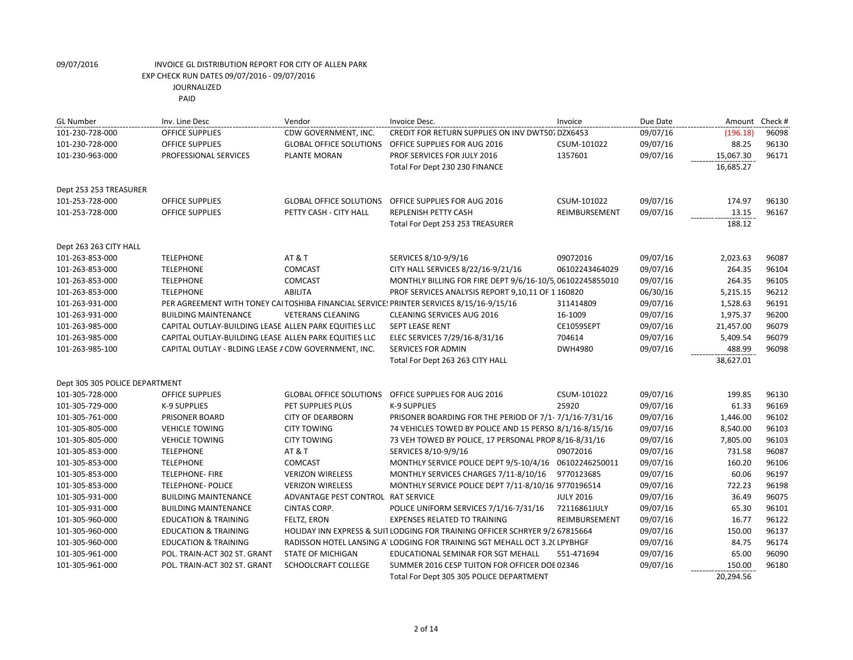JOURNALIZED

| <b>GL Number</b>               | Inv. Line Desc                                        | Vendor                             | Invoice Desc.                                                                            | Invoice          | Due Date | Amount Check # |       |
|--------------------------------|-------------------------------------------------------|------------------------------------|------------------------------------------------------------------------------------------|------------------|----------|----------------|-------|
| 101-230-728-000                | <b>OFFICE SUPPLIES</b>                                | CDW GOVERNMENT, INC.               | <b>CREDIT FOR RETURN SUPPLIES ON INV DWT507 DZX6453</b>                                  |                  | 09/07/16 | (196.18)       | 96098 |
| 101-230-728-000                | OFFICE SUPPLIES                                       | <b>GLOBAL OFFICE SOLUTIONS</b>     | OFFICE SUPPLIES FOR AUG 2016                                                             | CSUM-101022      | 09/07/16 | 88.25          | 96130 |
| 101-230-963-000                | PROFESSIONAL SERVICES                                 | <b>PLANTE MORAN</b>                | PROF SERVICES FOR JULY 2016                                                              | 1357601          | 09/07/16 | 15,067.30      | 96171 |
|                                |                                                       |                                    | Total For Dept 230 230 FINANCE                                                           |                  |          | 16,685.27      |       |
|                                |                                                       |                                    |                                                                                          |                  |          |                |       |
| Dept 253 253 TREASURER         |                                                       |                                    |                                                                                          |                  |          |                |       |
| 101-253-728-000                | <b>OFFICE SUPPLIES</b>                                | <b>GLOBAL OFFICE SOLUTIONS</b>     | OFFICE SUPPLIES FOR AUG 2016                                                             | CSUM-101022      | 09/07/16 | 174.97         | 96130 |
| 101-253-728-000                | <b>OFFICE SUPPLIES</b>                                | PETTY CASH - CITY HALL             | REPLENISH PETTY CASH                                                                     | REIMBURSEMENT    | 09/07/16 | 13.15          | 96167 |
|                                |                                                       |                                    | Total For Dept 253 253 TREASURER                                                         |                  |          | 188.12         |       |
| Dept 263 263 CITY HALL         |                                                       |                                    |                                                                                          |                  |          |                |       |
| 101-263-853-000                | <b>TELEPHONE</b>                                      | AT & T                             | SERVICES 8/10-9/9/16                                                                     | 09072016         | 09/07/16 | 2,023.63       | 96087 |
| 101-263-853-000                | <b>TELEPHONE</b>                                      | <b>COMCAST</b>                     | CITY HALL SERVICES 8/22/16-9/21/16                                                       | 06102243464029   | 09/07/16 | 264.35         | 96104 |
| 101-263-853-000                | <b>TELEPHONE</b>                                      | <b>COMCAST</b>                     | MONTHLY BILLING FOR FIRE DEPT 9/6/16-10/5 06102245855010                                 |                  | 09/07/16 | 264.35         | 96105 |
| 101-263-853-000                | <b>TELEPHONE</b>                                      | <b>ABILITA</b>                     | PROF SERVICES ANALYSIS REPORT 9,10,11 OF 1 160820                                        |                  | 06/30/16 | 5,215.15       | 96212 |
| 101-263-931-000                |                                                       |                                    | PER AGREEMENT WITH TONEY CAI TOSHIBA FINANCIAL SERVICE! PRINTER SERVICES 8/15/16-9/15/16 | 311414809        | 09/07/16 | 1,528.63       | 96191 |
| 101-263-931-000                | <b>BUILDING MAINTENANCE</b>                           | <b>VETERANS CLEANING</b>           | <b>CLEANING SERVICES AUG 2016</b>                                                        | 16-1009          | 09/07/16 | 1,975.37       | 96200 |
| 101-263-985-000                | CAPITAL OUTLAY-BUILDING LEASE ALLEN PARK EQUITIES LLC |                                    | <b>SEPT LEASE RENT</b>                                                                   | CE1059SEPT       | 09/07/16 | 21,457.00      | 96079 |
| 101-263-985-000                | CAPITAL OUTLAY-BUILDING LEASE ALLEN PARK EQUITIES LLC |                                    | ELEC SERVICES 7/29/16-8/31/16                                                            | 704614           | 09/07/16 | 5,409.54       | 96079 |
| 101-263-985-100                | CAPITAL OUTLAY - BLDING LEASE A CDW GOVERNMENT, INC.  |                                    | <b>SERVICES FOR ADMIN</b>                                                                | DWH4980          | 09/07/16 | 488.99         | 96098 |
|                                |                                                       |                                    | Total For Dept 263 263 CITY HALL                                                         |                  |          | 38,627.01      |       |
| Dept 305 305 POLICE DEPARTMENT |                                                       |                                    |                                                                                          |                  |          |                |       |
| 101-305-728-000                | <b>OFFICE SUPPLIES</b>                                | <b>GLOBAL OFFICE SOLUTIONS</b>     | OFFICE SUPPLIES FOR AUG 2016                                                             | CSUM-101022      | 09/07/16 | 199.85         | 96130 |
| 101-305-729-000                | K-9 SUPPLIES                                          | PET SUPPLIES PLUS                  | K-9 SUPPLIES                                                                             | 25920            | 09/07/16 | 61.33          | 96169 |
| 101-305-761-000                | PRISONER BOARD                                        | <b>CITY OF DEARBORN</b>            | PRISONER BOARDING FOR THE PERIOD OF 7/1-7/1/16-7/31/16                                   |                  | 09/07/16 | 1,446.00       | 96102 |
| 101-305-805-000                | <b>VEHICLE TOWING</b>                                 | <b>CITY TOWING</b>                 | 74 VEHICLES TOWED BY POLICE AND 15 PERSO 8/1/16-8/15/16                                  |                  | 09/07/16 | 8,540.00       | 96103 |
| 101-305-805-000                | <b>VEHICLE TOWING</b>                                 | <b>CITY TOWING</b>                 | 73 VEH TOWED BY POLICE, 17 PERSONAL PROP 8/16-8/31/16                                    |                  | 09/07/16 | 7,805.00       | 96103 |
| 101-305-853-000                | <b>TELEPHONE</b>                                      | AT & T                             | SERVICES 8/10-9/9/16                                                                     | 09072016         | 09/07/16 | 731.58         | 96087 |
| 101-305-853-000                | <b>TELEPHONE</b>                                      | <b>COMCAST</b>                     | MONTHLY SERVICE POLICE DEPT 9/5-10/4/16                                                  | 06102246250011   | 09/07/16 | 160.20         | 96106 |
| 101-305-853-000                | <b>TELEPHONE-FIRE</b>                                 | <b>VERIZON WIRELESS</b>            | MONTHLY SERVICES CHARGES 7/11-8/10/16                                                    | 9770123685       | 09/07/16 | 60.06          | 96197 |
| 101-305-853-000                | <b>TELEPHONE- POLICE</b>                              | <b>VERIZON WIRELESS</b>            | MONTHLY SERVICE POLICE DEPT 7/11-8/10/16 9770196514                                      |                  | 09/07/16 | 722.23         | 96198 |
| 101-305-931-000                | <b>BUILDING MAINTENANCE</b>                           | ADVANTAGE PEST CONTROL RAT SERVICE |                                                                                          | <b>JULY 2016</b> | 09/07/16 | 36.49          | 96075 |
| 101-305-931-000                | <b>BUILDING MAINTENANCE</b>                           | CINTAS CORP.                       | POLICE UNIFORM SERVICES 7/1/16-7/31/16                                                   | 72116861JULY     | 09/07/16 | 65.30          | 96101 |
| 101-305-960-000                | <b>EDUCATION &amp; TRAINING</b>                       | FELTZ, ERON                        | <b>EXPENSES RELATED TO TRAINING</b>                                                      | REIMBURSEMENT    | 09/07/16 | 16.77          | 96122 |
| 101-305-960-000                | <b>EDUCATION &amp; TRAINING</b>                       |                                    | HOLIDAY INN EXPRESS & SUIT LODGING FOR TRAINING OFFICER SCHRYER 9/2 67815664             |                  | 09/07/16 | 150.00         | 96137 |
| 101-305-960-000                | <b>EDUCATION &amp; TRAINING</b>                       |                                    | RADISSON HOTEL LANSING A' LODGING FOR TRAINING SGT MEHALL OCT 3.2( LPYBHGF               |                  | 09/07/16 | 84.75          | 96174 |
| 101-305-961-000                | POL. TRAIN-ACT 302 ST. GRANT                          | <b>STATE OF MICHIGAN</b>           | EDUCATIONAL SEMINAR FOR SGT MEHALL                                                       | 551-471694       | 09/07/16 | 65.00          | 96090 |
| 101-305-961-000                | POL. TRAIN-ACT 302 ST. GRANT                          | SCHOOLCRAFT COLLEGE                | SUMMER 2016 CESP TUITON FOR OFFICER DOE 02346                                            |                  | 09/07/16 | 150.00         | 96180 |
|                                |                                                       |                                    | Total For Dept 305 305 POLICE DEPARTMENT                                                 |                  |          | 20,294.56      |       |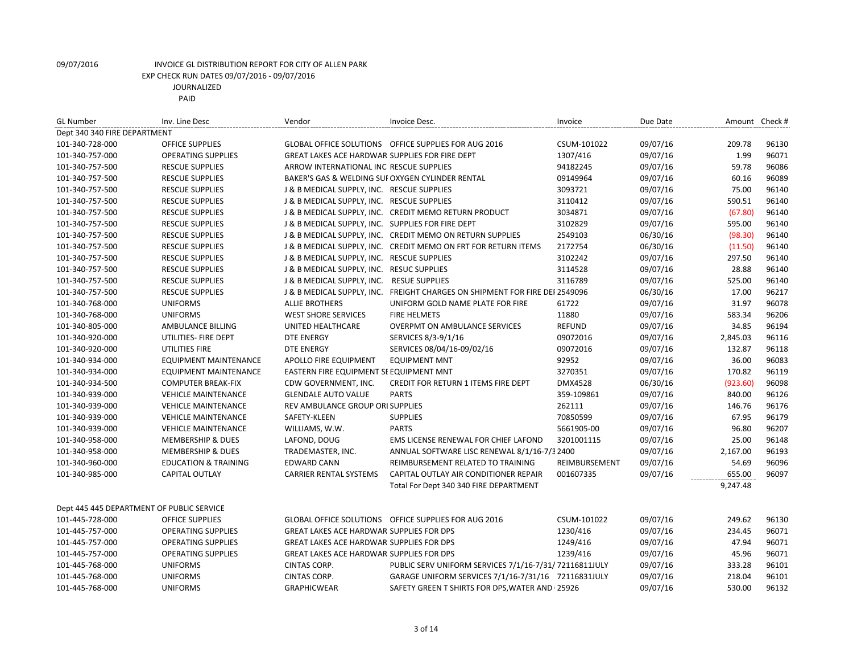| <b>GL Number</b>                          | Inv. Line Desc                  | Vendor                                            | Invoice Desc.                                                               | Invoice        | Due Date | Amount Check # |       |  |  |
|-------------------------------------------|---------------------------------|---------------------------------------------------|-----------------------------------------------------------------------------|----------------|----------|----------------|-------|--|--|
| Dept 340 340 FIRE DEPARTMENT              |                                 |                                                   |                                                                             |                |          |                |       |  |  |
| 101-340-728-000                           | <b>OFFICE SUPPLIES</b>          |                                                   | GLOBAL OFFICE SOLUTIONS OFFICE SUPPLIES FOR AUG 2016                        | CSUM-101022    | 09/07/16 | 209.78         | 96130 |  |  |
| 101-340-757-000                           | <b>OPERATING SUPPLIES</b>       | GREAT LAKES ACE HARDWAR SUPPLIES FOR FIRE DEPT    |                                                                             | 1307/416       | 09/07/16 | 1.99           | 96071 |  |  |
| 101-340-757-500                           | <b>RESCUE SUPPLIES</b>          | ARROW INTERNATIONAL INC RESCUE SUPPLIES           |                                                                             | 94182245       | 09/07/16 | 59.78          | 96086 |  |  |
| 101-340-757-500                           | <b>RESCUE SUPPLIES</b>          | BAKER'S GAS & WELDING SUI OXYGEN CYLINDER RENTAL  |                                                                             | 09149964       | 09/07/16 | 60.16          | 96089 |  |  |
| 101-340-757-500                           | <b>RESCUE SUPPLIES</b>          | J & B MEDICAL SUPPLY, INC. RESCUE SUPPLIES        |                                                                             | 3093721        | 09/07/16 | 75.00          | 96140 |  |  |
| 101-340-757-500                           | <b>RESCUE SUPPLIES</b>          | J & B MEDICAL SUPPLY, INC. RESCUE SUPPLIES        |                                                                             | 3110412        | 09/07/16 | 590.51         | 96140 |  |  |
| 101-340-757-500                           | <b>RESCUE SUPPLIES</b>          |                                                   | J & B MEDICAL SUPPLY, INC. CREDIT MEMO RETURN PRODUCT                       | 3034871        | 09/07/16 | (67.80)        | 96140 |  |  |
| 101-340-757-500                           | <b>RESCUE SUPPLIES</b>          | J & B MEDICAL SUPPLY, INC. SUPPLIES FOR FIRE DEPT |                                                                             | 3102829        | 09/07/16 | 595.00         | 96140 |  |  |
| 101-340-757-500                           | <b>RESCUE SUPPLIES</b>          |                                                   | J & B MEDICAL SUPPLY, INC. CREDIT MEMO ON RETURN SUPPLIES                   | 2549103        | 06/30/16 | (98.30)        | 96140 |  |  |
| 101-340-757-500                           | <b>RESCUE SUPPLIES</b>          |                                                   | J & B MEDICAL SUPPLY, INC. CREDIT MEMO ON FRT FOR RETURN ITEMS              | 2172754        | 06/30/16 | (11.50)        | 96140 |  |  |
| 101-340-757-500                           | <b>RESCUE SUPPLIES</b>          | J & B MEDICAL SUPPLY, INC. RESCUE SUPPLIES        |                                                                             | 3102242        | 09/07/16 | 297.50         | 96140 |  |  |
| 101-340-757-500                           | <b>RESCUE SUPPLIES</b>          | J & B MEDICAL SUPPLY, INC. RESUC SUPPLIES         |                                                                             | 3114528        | 09/07/16 | 28.88          | 96140 |  |  |
| 101-340-757-500                           | <b>RESCUE SUPPLIES</b>          | J & B MEDICAL SUPPLY, INC.                        | <b>RESUE SUPPLIES</b>                                                       | 3116789        | 09/07/16 | 525.00         | 96140 |  |  |
| 101-340-757-500                           | <b>RESCUE SUPPLIES</b>          |                                                   | J & B MEDICAL SUPPLY, INC. FREIGHT CHARGES ON SHIPMENT FOR FIRE DEI 2549096 |                | 06/30/16 | 17.00          | 96217 |  |  |
| 101-340-768-000                           | <b>UNIFORMS</b>                 | <b>ALLIE BROTHERS</b>                             | UNIFORM GOLD NAME PLATE FOR FIRE                                            | 61722          | 09/07/16 | 31.97          | 96078 |  |  |
| 101-340-768-000                           | <b>UNIFORMS</b>                 | <b>WEST SHORE SERVICES</b>                        | <b>FIRE HELMETS</b>                                                         | 11880          | 09/07/16 | 583.34         | 96206 |  |  |
| 101-340-805-000                           | AMBULANCE BILLING               | UNITED HEALTHCARE                                 | <b>OVERPMT ON AMBULANCE SERVICES</b>                                        | <b>REFUND</b>  | 09/07/16 | 34.85          | 96194 |  |  |
| 101-340-920-000                           | UTILITIES- FIRE DEPT            | <b>DTE ENERGY</b>                                 | SERVICES 8/3-9/1/16                                                         | 09072016       | 09/07/16 | 2,845.03       | 96116 |  |  |
| 101-340-920-000                           | UTILITIES FIRE                  | <b>DTE ENERGY</b>                                 | SERVICES 08/04/16-09/02/16                                                  | 09072016       | 09/07/16 | 132.87         | 96118 |  |  |
| 101-340-934-000                           | <b>EQUIPMENT MAINTENANCE</b>    | APOLLO FIRE EQUIPMENT                             | <b>EQUIPMENT MNT</b>                                                        | 92952          | 09/07/16 | 36.00          | 96083 |  |  |
| 101-340-934-000                           | <b>EQUIPMENT MAINTENANCE</b>    | EASTERN FIRE EQUIPMENT SE EQUIPMENT MNT           |                                                                             | 3270351        | 09/07/16 | 170.82         | 96119 |  |  |
| 101-340-934-500                           | <b>COMPUTER BREAK-FIX</b>       | CDW GOVERNMENT, INC.                              | <b>CREDIT FOR RETURN 1 ITEMS FIRE DEPT</b>                                  | <b>DMX4528</b> | 06/30/16 | (923.60)       | 96098 |  |  |
| 101-340-939-000                           | <b>VEHICLE MAINTENANCE</b>      | <b>GLENDALE AUTO VALUE</b>                        | <b>PARTS</b>                                                                | 359-109861     | 09/07/16 | 840.00         | 96126 |  |  |
| 101-340-939-000                           | <b>VEHICLE MAINTENANCE</b>      | <b>REV AMBULANCE GROUP ORI SUPPLIES</b>           |                                                                             | 262111         | 09/07/16 | 146.76         | 96176 |  |  |
| 101-340-939-000                           | <b>VEHICLE MAINTENANCE</b>      | SAFETY-KLEEN                                      | <b>SUPPLIES</b>                                                             | 70850599       | 09/07/16 | 67.95          | 96179 |  |  |
| 101-340-939-000                           | <b>VEHICLE MAINTENANCE</b>      | WILLIAMS, W.W.                                    | <b>PARTS</b>                                                                | 5661905-00     | 09/07/16 | 96.80          | 96207 |  |  |
| 101-340-958-000                           | <b>MEMBERSHIP &amp; DUES</b>    | LAFOND, DOUG                                      | EMS LICENSE RENEWAL FOR CHIEF LAFOND                                        | 3201001115     | 09/07/16 | 25.00          | 96148 |  |  |
| 101-340-958-000                           | <b>MEMBERSHIP &amp; DUES</b>    | TRADEMASTER, INC.                                 | ANNUAL SOFTWARE LISC RENEWAL 8/1/16-7/3 2400                                |                | 09/07/16 | 2,167.00       | 96193 |  |  |
| 101-340-960-000                           | <b>EDUCATION &amp; TRAINING</b> | <b>EDWARD CANN</b>                                | REIMBURSEMENT RELATED TO TRAINING                                           | REIMBURSEMENT  | 09/07/16 | 54.69          | 96096 |  |  |
| 101-340-985-000                           | <b>CAPITAL OUTLAY</b>           | <b>CARRIER RENTAL SYSTEMS</b>                     | CAPITAL OUTLAY AIR CONDITIONER REPAIR                                       | 001607335      | 09/07/16 | 655.00         | 96097 |  |  |
|                                           |                                 |                                                   | Total For Dept 340 340 FIRE DEPARTMENT                                      |                |          | 9,247.48       |       |  |  |
| Dept 445 445 DEPARTMENT OF PUBLIC SERVICE |                                 |                                                   |                                                                             |                |          |                |       |  |  |
| 101-445-728-000                           | <b>OFFICE SUPPLIES</b>          |                                                   | GLOBAL OFFICE SOLUTIONS OFFICE SUPPLIES FOR AUG 2016                        | CSUM-101022    | 09/07/16 | 249.62         | 96130 |  |  |
| 101-445-757-000                           | <b>OPERATING SUPPLIES</b>       | GREAT LAKES ACE HARDWAR SUPPLIES FOR DPS          |                                                                             | 1230/416       | 09/07/16 | 234.45         | 96071 |  |  |
| 101-445-757-000                           | <b>OPERATING SUPPLIES</b>       | <b>GREAT LAKES ACE HARDWAR SUPPLIES FOR DPS</b>   |                                                                             | 1249/416       | 09/07/16 | 47.94          | 96071 |  |  |
| 101-445-757-000                           | <b>OPERATING SUPPLIES</b>       | GREAT LAKES ACE HARDWAR SUPPLIES FOR DPS          |                                                                             | 1239/416       | 09/07/16 | 45.96          | 96071 |  |  |
| 101-445-768-000                           | <b>UNIFORMS</b>                 | CINTAS CORP.                                      | PUBLIC SERV UNIFORM SERVICES 7/1/16-7/31/72116811JULY                       |                | 09/07/16 | 333.28         | 96101 |  |  |
| 101-445-768-000                           | <b>UNIFORMS</b>                 | CINTAS CORP.                                      | GARAGE UNIFORM SERVICES 7/1/16-7/31/16 72116831JULY                         |                | 09/07/16 | 218.04         | 96101 |  |  |
| 101-445-768-000                           | <b>UNIFORMS</b>                 | <b>GRAPHICWEAR</b>                                | SAFETY GREEN T SHIRTS FOR DPS, WATER AND 25926                              |                | 09/07/16 | 530.00         | 96132 |  |  |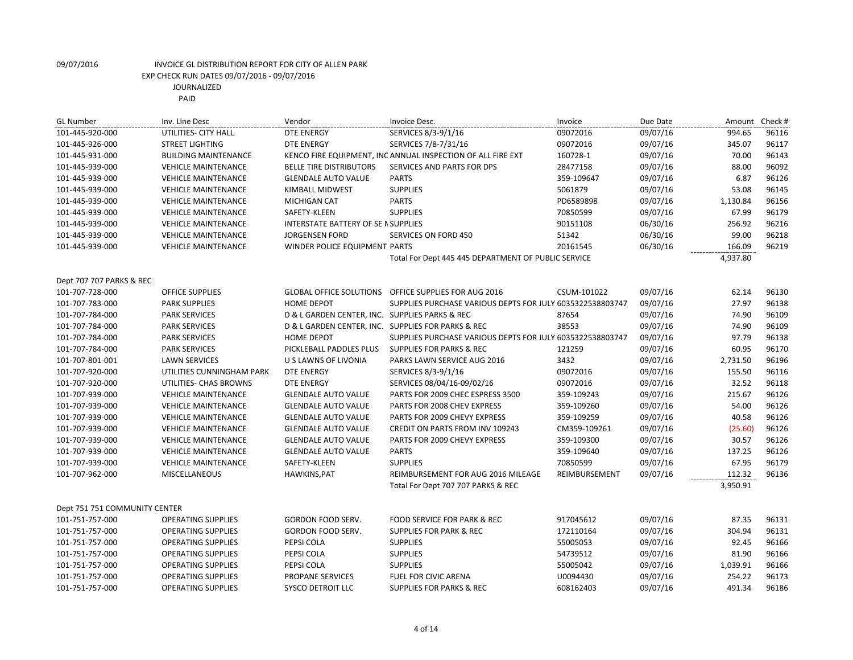| <b>GL Number</b>              | Inv. Line Desc              | Vendor                                         | Invoice Desc.                                               | Invoice       | Due Date | Amount Check # |       |
|-------------------------------|-----------------------------|------------------------------------------------|-------------------------------------------------------------|---------------|----------|----------------|-------|
| 101-445-920-000               | UTILITIES- CITY HALL        | <b>DTE ENERGY</b>                              | SERVICES 8/3-9/1/16                                         | 09072016      | 09/07/16 | 994.65         | 96116 |
| 101-445-926-000               | <b>STREET LIGHTING</b>      | <b>DTE ENERGY</b>                              | SERVICES 7/8-7/31/16                                        | 09072016      | 09/07/16 | 345.07         | 96117 |
| 101-445-931-000               | <b>BUILDING MAINTENANCE</b> |                                                | KENCO FIRE EQUIPMENT, INC ANNUAL INSPECTION OF ALL FIRE EXT | 160728-1      | 09/07/16 | 70.00          | 96143 |
| 101-445-939-000               | <b>VEHICLE MAINTENANCE</b>  | <b>BELLE TIRE DISTRIBUTORS</b>                 | SERVICES AND PARTS FOR DPS                                  | 28477158      | 09/07/16 | 88.00          | 96092 |
| 101-445-939-000               | <b>VEHICLE MAINTENANCE</b>  | <b>GLENDALE AUTO VALUE</b>                     | <b>PARTS</b>                                                | 359-109647    | 09/07/16 | 6.87           | 96126 |
| 101-445-939-000               | <b>VEHICLE MAINTENANCE</b>  | KIMBALL MIDWEST                                | <b>SUPPLIES</b>                                             | 5061879       | 09/07/16 | 53.08          | 96145 |
| 101-445-939-000               | <b>VEHICLE MAINTENANCE</b>  | <b>MICHIGAN CAT</b>                            | <b>PARTS</b>                                                | PD6589898     | 09/07/16 | 1,130.84       | 96156 |
| 101-445-939-000               | <b>VEHICLE MAINTENANCE</b>  | SAFETY-KLEEN                                   | <b>SUPPLIES</b>                                             | 70850599      | 09/07/16 | 67.99          | 96179 |
| 101-445-939-000               | <b>VEHICLE MAINTENANCE</b>  | <b>INTERSTATE BATTERY OF SE N SUPPLIES</b>     |                                                             | 90151108      | 06/30/16 | 256.92         | 96216 |
| 101-445-939-000               | <b>VEHICLE MAINTENANCE</b>  | <b>JORGENSEN FORD</b>                          | SERVICES ON FORD 450                                        | 51342         | 06/30/16 | 99.00          | 96218 |
| 101-445-939-000               | <b>VEHICLE MAINTENANCE</b>  | WINDER POLICE EQUIPMENT PARTS                  |                                                             | 20161545      | 06/30/16 | 166.09         | 96219 |
|                               |                             |                                                | Total For Dept 445 445 DEPARTMENT OF PUBLIC SERVICE         |               |          | 4,937.80       |       |
| Dept 707 707 PARKS & REC      |                             |                                                |                                                             |               |          |                |       |
| 101-707-728-000               | <b>OFFICE SUPPLIES</b>      |                                                | GLOBAL OFFICE SOLUTIONS OFFICE SUPPLIES FOR AUG 2016        | CSUM-101022   | 09/07/16 | 62.14          | 96130 |
| 101-707-783-000               | <b>PARK SUPPLIES</b>        | HOME DEPOT                                     | SUPPLIES PURCHASE VARIOUS DEPTS FOR JULY 6035322538803747   |               | 09/07/16 | 27.97          | 96138 |
| 101-707-784-000               | <b>PARK SERVICES</b>        | D & L GARDEN CENTER, INC. SUPPLIES PARKS & REC |                                                             | 87654         | 09/07/16 | 74.90          | 96109 |
| 101-707-784-000               | <b>PARK SERVICES</b>        |                                                | D & L GARDEN CENTER, INC. SUPPLIES FOR PARKS & REC          | 38553         | 09/07/16 | 74.90          | 96109 |
| 101-707-784-000               | <b>PARK SERVICES</b>        | <b>HOME DEPOT</b>                              | SUPPLIES PURCHASE VARIOUS DEPTS FOR JULY 6035322538803747   |               | 09/07/16 | 97.79          | 96138 |
| 101-707-784-000               | <b>PARK SERVICES</b>        | PICKLEBALL PADDLES PLUS                        | <b>SUPPLIES FOR PARKS &amp; REC</b>                         | 121259        | 09/07/16 | 60.95          | 96170 |
| 101-707-801-001               | <b>LAWN SERVICES</b>        | U S LAWNS OF LIVONIA                           | PARKS LAWN SERVICE AUG 2016                                 | 3432          | 09/07/16 | 2,731.50       | 96196 |
| 101-707-920-000               | UTILITIES CUNNINGHAM PARK   | <b>DTE ENERGY</b>                              | SERVICES 8/3-9/1/16                                         | 09072016      | 09/07/16 | 155.50         | 96116 |
| 101-707-920-000               | UTILITIES- CHAS BROWNS      | <b>DTE ENERGY</b>                              | SERVICES 08/04/16-09/02/16                                  | 09072016      | 09/07/16 | 32.52          | 96118 |
| 101-707-939-000               | <b>VEHICLE MAINTENANCE</b>  | <b>GLENDALE AUTO VALUE</b>                     | PARTS FOR 2009 CHEC ESPRESS 3500                            | 359-109243    | 09/07/16 | 215.67         | 96126 |
| 101-707-939-000               | <b>VEHICLE MAINTENANCE</b>  | <b>GLENDALE AUTO VALUE</b>                     | PARTS FOR 2008 CHEV EXPRESS                                 | 359-109260    | 09/07/16 | 54.00          | 96126 |
| 101-707-939-000               | <b>VEHICLE MAINTENANCE</b>  | <b>GLENDALE AUTO VALUE</b>                     | PARTS FOR 2009 CHEVY EXPRESS                                | 359-109259    | 09/07/16 | 40.58          | 96126 |
| 101-707-939-000               | <b>VEHICLE MAINTENANCE</b>  | <b>GLENDALE AUTO VALUE</b>                     | CREDIT ON PARTS FROM INV 109243                             | CM359-109261  | 09/07/16 | (25.60)        | 96126 |
| 101-707-939-000               | <b>VEHICLE MAINTENANCE</b>  | <b>GLENDALE AUTO VALUE</b>                     | PARTS FOR 2009 CHEVY EXPRESS                                | 359-109300    | 09/07/16 | 30.57          | 96126 |
| 101-707-939-000               | <b>VEHICLE MAINTENANCE</b>  | <b>GLENDALE AUTO VALUE</b>                     | <b>PARTS</b>                                                | 359-109640    | 09/07/16 | 137.25         | 96126 |
| 101-707-939-000               | <b>VEHICLE MAINTENANCE</b>  | SAFETY-KLEEN                                   | <b>SUPPLIES</b>                                             | 70850599      | 09/07/16 | 67.95          | 96179 |
| 101-707-962-000               | <b>MISCELLANEOUS</b>        | HAWKINS, PAT                                   | REIMBURSEMENT FOR AUG 2016 MILEAGE                          | REIMBURSEMENT | 09/07/16 | 112.32         | 96136 |
|                               |                             |                                                | Total For Dept 707 707 PARKS & REC                          |               |          | 3,950.91       |       |
| Dept 751 751 COMMUNITY CENTER |                             |                                                |                                                             |               |          |                |       |
| 101-751-757-000               | <b>OPERATING SUPPLIES</b>   | GORDON FOOD SERV.                              | FOOD SERVICE FOR PARK & REC                                 | 917045612     | 09/07/16 | 87.35          | 96131 |
| 101-751-757-000               | <b>OPERATING SUPPLIES</b>   | GORDON FOOD SERV.                              | <b>SUPPLIES FOR PARK &amp; REC</b>                          | 172110164     | 09/07/16 | 304.94         | 96131 |
| 101-751-757-000               | <b>OPERATING SUPPLIES</b>   | PEPSI COLA                                     | <b>SUPPLIES</b>                                             | 55005053      | 09/07/16 | 92.45          | 96166 |
| 101-751-757-000               | <b>OPERATING SUPPLIES</b>   | PEPSI COLA                                     | <b>SUPPLIES</b>                                             | 54739512      | 09/07/16 | 81.90          | 96166 |
| 101-751-757-000               | <b>OPERATING SUPPLIES</b>   | PEPSI COLA                                     | <b>SUPPLIES</b>                                             | 55005042      | 09/07/16 | 1,039.91       | 96166 |
| 101-751-757-000               | <b>OPERATING SUPPLIES</b>   | PROPANE SERVICES                               | FUEL FOR CIVIC ARENA                                        | U0094430      | 09/07/16 | 254.22         | 96173 |
| 101-751-757-000               | <b>OPERATING SUPPLIES</b>   | SYSCO DETROIT LLC                              | <b>SUPPLIES FOR PARKS &amp; REC</b>                         | 608162403     | 09/07/16 | 491.34         | 96186 |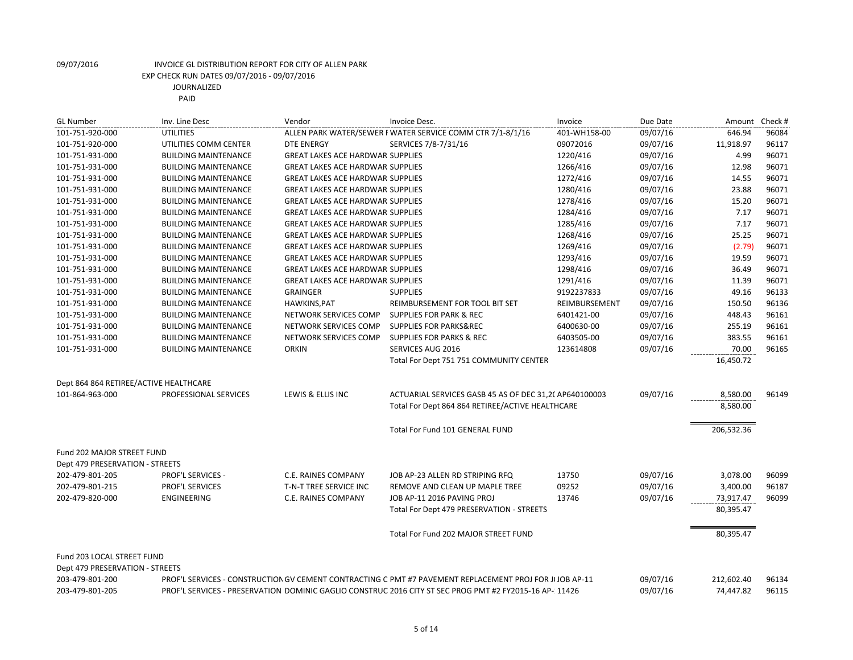| Vendor<br>Invoice Desc.<br>Due Date<br><b>GL Number</b><br>Inv. Line Desc<br>Invoice                                                     | Amount     | Check # |
|------------------------------------------------------------------------------------------------------------------------------------------|------------|---------|
| ALLEN PARK WATER/SEWER F WATER SERVICE COMM CTR 7/1-8/1/16<br>101-751-920-000<br>09/07/16<br><b>UTILITIES</b><br>401-WH158-00            | 646.94     | 96084   |
| 101-751-920-000<br>UTILITIES COMM CENTER<br><b>DTE ENERGY</b><br>SERVICES 7/8-7/31/16<br>09072016<br>09/07/16                            | 11,918.97  | 96117   |
| <b>BUILDING MAINTENANCE</b><br><b>GREAT LAKES ACE HARDWAR SUPPLIES</b><br>1220/416<br>09/07/16<br>101-751-931-000                        | 4.99       | 96071   |
| <b>GREAT LAKES ACE HARDWAR SUPPLIES</b><br>1266/416<br>09/07/16<br>101-751-931-000<br><b>BUILDING MAINTENANCE</b>                        | 12.98      | 96071   |
| 1272/416<br>09/07/16<br>101-751-931-000<br><b>BUILDING MAINTENANCE</b><br><b>GREAT LAKES ACE HARDWAR SUPPLIES</b>                        | 14.55      | 96071   |
| 1280/416<br>09/07/16<br>101-751-931-000<br><b>BUILDING MAINTENANCE</b><br><b>GREAT LAKES ACE HARDWAR SUPPLIES</b>                        | 23.88      | 96071   |
| <b>BUILDING MAINTENANCE</b><br><b>GREAT LAKES ACE HARDWAR SUPPLIES</b><br>1278/416<br>09/07/16<br>101-751-931-000                        | 15.20      | 96071   |
| 1284/416<br>09/07/16<br>101-751-931-000<br><b>BUILDING MAINTENANCE</b><br><b>GREAT LAKES ACE HARDWAR SUPPLIES</b>                        | 7.17       | 96071   |
| 09/07/16<br>101-751-931-000<br><b>GREAT LAKES ACE HARDWAR SUPPLIES</b><br>1285/416<br><b>BUILDING MAINTENANCE</b>                        | 7.17       | 96071   |
| <b>GREAT LAKES ACE HARDWAR SUPPLIES</b><br>1268/416<br>09/07/16<br>101-751-931-000<br><b>BUILDING MAINTENANCE</b>                        | 25.25      | 96071   |
| 101-751-931-000<br><b>BUILDING MAINTENANCE</b><br><b>GREAT LAKES ACE HARDWAR SUPPLIES</b><br>1269/416<br>09/07/16                        | (2.79)     | 96071   |
| <b>GREAT LAKES ACE HARDWAR SUPPLIES</b><br>1293/416<br>09/07/16<br>101-751-931-000<br><b>BUILDING MAINTENANCE</b>                        | 19.59      | 96071   |
| 1298/416<br>09/07/16<br>101-751-931-000<br><b>BUILDING MAINTENANCE</b><br><b>GREAT LAKES ACE HARDWAR SUPPLIES</b>                        | 36.49      | 96071   |
| 09/07/16<br>101-751-931-000<br><b>GREAT LAKES ACE HARDWAR SUPPLIES</b><br>1291/416<br><b>BUILDING MAINTENANCE</b>                        | 11.39      | 96071   |
| <b>GRAINGER</b><br>9192237833<br>09/07/16<br>101-751-931-000<br><b>BUILDING MAINTENANCE</b><br><b>SUPPLIES</b>                           | 49.16      | 96133   |
| HAWKINS, PAT<br>09/07/16<br><b>BUILDING MAINTENANCE</b><br>REIMBURSEMENT FOR TOOL BIT SET<br>REIMBURSEMENT<br>101-751-931-000            | 150.50     | 96136   |
| 101-751-931-000<br>NETWORK SERVICES COMP<br><b>SUPPLIES FOR PARK &amp; REC</b><br>6401421-00<br>09/07/16<br><b>BUILDING MAINTENANCE</b>  | 448.43     | 96161   |
| NETWORK SERVICES COMP<br><b>SUPPLIES FOR PARKS&amp;REC</b><br>09/07/16<br>101-751-931-000<br><b>BUILDING MAINTENANCE</b><br>6400630-00   | 255.19     | 96161   |
| 09/07/16<br>101-751-931-000<br><b>BUILDING MAINTENANCE</b><br>NETWORK SERVICES COMP<br><b>SUPPLIES FOR PARKS &amp; REC</b><br>6403505-00 | 383.55     | 96161   |
| 101-751-931-000<br><b>BUILDING MAINTENANCE</b><br><b>ORKIN</b><br>SERVICES AUG 2016<br>123614808<br>09/07/16                             | 70.00      | 96165   |
| Total For Dept 751 751 COMMUNITY CENTER                                                                                                  | 16,450.72  |         |
|                                                                                                                                          |            |         |
| Dept 864 864 RETIREE/ACTIVE HEALTHCARE                                                                                                   |            |         |
| 09/07/16<br>101-864-963-000<br>PROFESSIONAL SERVICES<br>LEWIS & ELLIS INC<br>ACTUARIAL SERVICES GASB 45 AS OF DEC 31,2( AP640100003      | 8,580.00   | 96149   |
| Total For Dept 864 864 RETIREE/ACTIVE HEALTHCARE                                                                                         | 8,580.00   |         |
|                                                                                                                                          |            |         |
| Total For Fund 101 GENERAL FUND                                                                                                          | 206,532.36 |         |
|                                                                                                                                          |            |         |
| Fund 202 MAJOR STREET FUND                                                                                                               |            |         |
| Dept 479 PRESERVATION - STREETS                                                                                                          |            |         |
| 202-479-801-205<br><b>PROF'L SERVICES -</b><br>C.E. RAINES COMPANY<br>JOB AP-23 ALLEN RD STRIPING RFQ<br>13750<br>09/07/16               | 3,078.00   | 96099   |
| 202-479-801-215<br><b>PROF'L SERVICES</b><br>T-N-T TREE SERVICE INC<br>09252<br>09/07/16<br>REMOVE AND CLEAN UP MAPLE TREE               | 3,400.00   | 96187   |
| <b>ENGINEERING</b><br>13746<br>09/07/16<br>202-479-820-000<br>C.E. RAINES COMPANY<br>JOB AP-11 2016 PAVING PROJ                          | 73,917.47  | 96099   |
| Total For Dept 479 PRESERVATION - STREETS                                                                                                | 80,395.47  |         |
|                                                                                                                                          |            |         |
| Total For Fund 202 MAJOR STREET FUND                                                                                                     | 80,395.47  |         |
| Fund 203 LOCAL STREET FUND                                                                                                               |            |         |
| Dept 479 PRESERVATION - STREETS                                                                                                          |            |         |
| 203-479-801-200<br>PROF'L SERVICES - CONSTRUCTION GV CEMENT CONTRACTING C PMT #7 PAVEMENT REPLACEMENT PROJ FOR JI JOB AP-11<br>09/07/16  | 212,602.40 | 96134   |
| 203-479-801-205<br>PROF'L SERVICES - PRESERVATION DOMINIC GAGLIO CONSTRUC 2016 CITY ST SEC PROG PMT #2 FY2015-16 AP- 11426<br>09/07/16   | 74,447.82  | 96115   |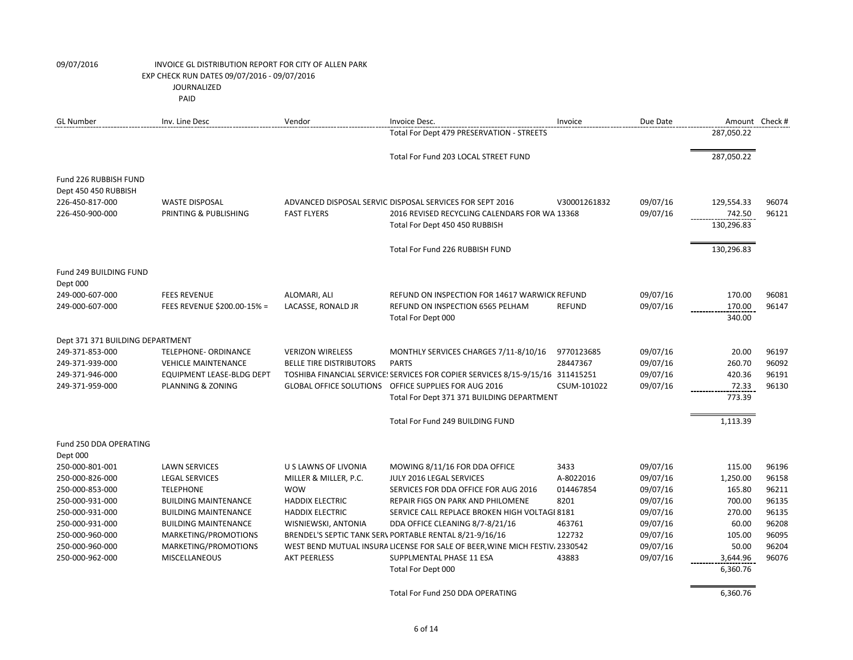| <b>GL Number</b>                              | Inv. Line Desc                            | Vendor                              | Invoice Desc.                                                                  | Invoice                | Due Date             | Amount Check #     |                |
|-----------------------------------------------|-------------------------------------------|-------------------------------------|--------------------------------------------------------------------------------|------------------------|----------------------|--------------------|----------------|
|                                               |                                           |                                     | Total For Dept 479 PRESERVATION - STREETS                                      |                        |                      | 287,050.22         |                |
|                                               |                                           |                                     | Total For Fund 203 LOCAL STREET FUND                                           |                        |                      | 287,050.22         |                |
|                                               |                                           |                                     |                                                                                |                        |                      |                    |                |
| Fund 226 RUBBISH FUND<br>Dept 450 450 RUBBISH |                                           |                                     |                                                                                |                        |                      |                    |                |
| 226-450-817-000                               | <b>WASTE DISPOSAL</b>                     |                                     | ADVANCED DISPOSAL SERVIC DISPOSAL SERVICES FOR SEPT 2016                       | V30001261832           | 09/07/16             | 129,554.33         | 96074          |
| 226-450-900-000                               | PRINTING & PUBLISHING                     | <b>FAST FLYERS</b>                  | 2016 REVISED RECYCLING CALENDARS FOR WA 13368                                  |                        | 09/07/16             | 742.50             | 96121          |
|                                               |                                           |                                     | Total For Dept 450 450 RUBBISH                                                 |                        |                      | 130,296.83         |                |
|                                               |                                           |                                     | Total For Fund 226 RUBBISH FUND                                                |                        |                      | 130,296.83         |                |
| Fund 249 BUILDING FUND                        |                                           |                                     |                                                                                |                        |                      |                    |                |
| Dept 000                                      |                                           |                                     |                                                                                |                        |                      |                    |                |
| 249-000-607-000                               | <b>FEES REVENUE</b>                       | ALOMARI, ALI                        | REFUND ON INSPECTION FOR 14617 WARWICK REFUND                                  |                        | 09/07/16             | 170.00             | 96081          |
| 249-000-607-000                               | FEES REVENUE \$200.00-15% =               | LACASSE, RONALD JR                  | REFUND ON INSPECTION 6565 PELHAM                                               | <b>REFUND</b>          | 09/07/16             | 170.00             | 96147          |
|                                               |                                           |                                     | Total For Dept 000                                                             |                        |                      | 340.00             |                |
| Dept 371 371 BUILDING DEPARTMENT              |                                           |                                     |                                                                                |                        |                      |                    |                |
| 249-371-853-000                               | TELEPHONE- ORDINANCE                      | <b>VERIZON WIRELESS</b>             | MONTHLY SERVICES CHARGES 7/11-8/10/16                                          | 9770123685             | 09/07/16             | 20.00              | 96197          |
| 249-371-939-000                               | <b>VEHICLE MAINTENANCE</b>                | <b>BELLE TIRE DISTRIBUTORS</b>      | <b>PARTS</b>                                                                   | 28447367               | 09/07/16             | 260.70             | 96092          |
| 249-371-946-000                               | <b>EQUIPMENT LEASE-BLDG DEPT</b>          |                                     | TOSHIBA FINANCIAL SERVICE! SERVICES FOR COPIER SERVICES 8/15-9/15/16 311415251 |                        | 09/07/16             | 420.36             | 96191          |
| 249-371-959-000                               | PLANNING & ZONING                         |                                     | GLOBAL OFFICE SOLUTIONS OFFICE SUPPLIES FOR AUG 2016                           | CSUM-101022            | 09/07/16             | 72.33              | 96130          |
|                                               |                                           |                                     | Total For Dept 371 371 BUILDING DEPARTMENT                                     |                        |                      | 773.39             |                |
|                                               |                                           |                                     | Total For Fund 249 BUILDING FUND                                               |                        |                      | 1,113.39           |                |
| Fund 250 DDA OPERATING                        |                                           |                                     |                                                                                |                        |                      |                    |                |
| Dept 000                                      |                                           |                                     |                                                                                |                        |                      |                    |                |
| 250-000-801-001                               | <b>LAWN SERVICES</b>                      | U S LAWNS OF LIVONIA                | MOWING 8/11/16 FOR DDA OFFICE                                                  | 3433                   | 09/07/16             | 115.00             | 96196          |
| 250-000-826-000<br>250-000-853-000            | <b>LEGAL SERVICES</b><br><b>TELEPHONE</b> | MILLER & MILLER, P.C.<br><b>WOW</b> | JULY 2016 LEGAL SERVICES<br>SERVICES FOR DDA OFFICE FOR AUG 2016               | A-8022016<br>014467854 | 09/07/16<br>09/07/16 | 1,250.00<br>165.80 | 96158<br>96211 |
| 250-000-931-000                               | <b>BUILDING MAINTENANCE</b>               | <b>HADDIX ELECTRIC</b>              | REPAIR FIGS ON PARK AND PHILOMENE                                              | 8201                   | 09/07/16             | 700.00             | 96135          |
| 250-000-931-000                               | <b>BUILDING MAINTENANCE</b>               | <b>HADDIX ELECTRIC</b>              | SERVICE CALL REPLACE BROKEN HIGH VOLTAGI 8181                                  |                        | 09/07/16             | 270.00             | 96135          |
| 250-000-931-000                               | <b>BUILDING MAINTENANCE</b>               | WISNIEWSKI, ANTONIA                 | DDA OFFICE CLEANING 8/7-8/21/16                                                | 463761                 | 09/07/16             | 60.00              | 96208          |
| 250-000-960-000                               | MARKETING/PROMOTIONS                      |                                     | BRENDEL'S SEPTIC TANK SER\ PORTABLE RENTAL 8/21-9/16/16                        | 122732                 | 09/07/16             | 105.00             | 96095          |
| 250-000-960-000                               | MARKETING/PROMOTIONS                      |                                     | WEST BEND MUTUAL INSURA LICENSE FOR SALE OF BEER, WINE MICH FESTIV. 2330542    |                        | 09/07/16             | 50.00              | 96204          |
| 250-000-962-000                               | <b>MISCELLANEOUS</b>                      | <b>AKT PEERLESS</b>                 | SUPPLMENTAL PHASE 11 ESA                                                       | 43883                  | 09/07/16             | 3,644.96           | 96076          |
|                                               |                                           |                                     | Total For Dept 000                                                             |                        |                      | 6,360.76           |                |
|                                               |                                           |                                     | Total For Fund 250 DDA OPERATING                                               |                        |                      | 6,360.76           |                |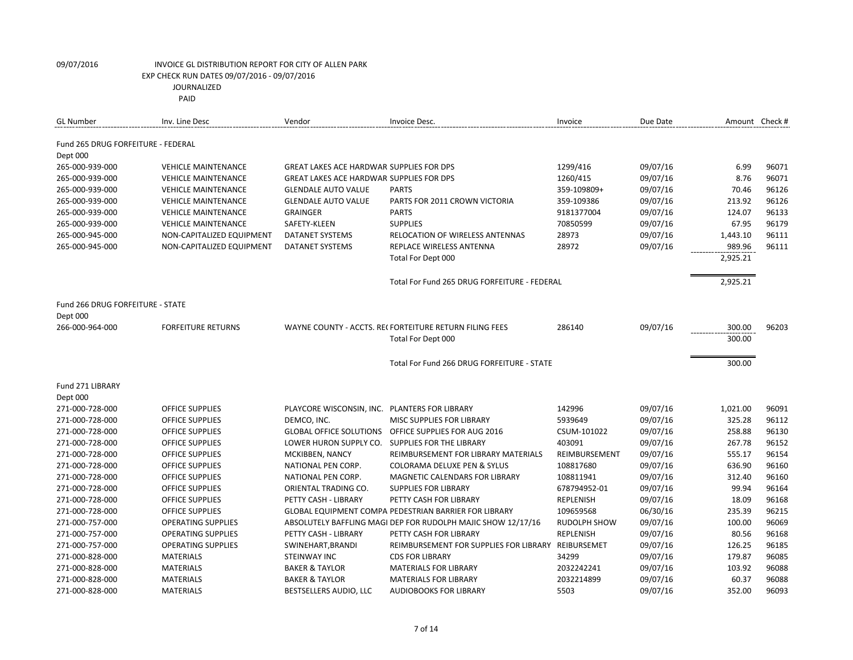| Fund 265 DRUG FORFEITURE - FEDERAL<br>Dept 000<br>265-000-939-000<br>1299/416<br>09/07/16<br>6.99<br>96071<br><b>VEHICLE MAINTENANCE</b><br><b>GREAT LAKES ACE HARDWAR SUPPLIES FOR DPS</b><br>1260/415<br>09/07/16<br>8.76<br>96071<br>265-000-939-000<br><b>VEHICLE MAINTENANCE</b><br><b>GREAT LAKES ACE HARDWAR SUPPLIES FOR DPS</b><br>09/07/16<br>96126<br>265-000-939-000<br><b>VEHICLE MAINTENANCE</b><br><b>GLENDALE AUTO VALUE</b><br><b>PARTS</b><br>359-109809+<br>70.46<br>09/07/16<br>96126<br>265-000-939-000<br><b>VEHICLE MAINTENANCE</b><br><b>GLENDALE AUTO VALUE</b><br>PARTS FOR 2011 CROWN VICTORIA<br>359-109386<br>213.92<br>96133<br><b>VEHICLE MAINTENANCE</b><br><b>GRAINGER</b><br><b>PARTS</b><br>9181377004<br>09/07/16<br>124.07<br>265-000-939-000<br>96179<br>265-000-939-000<br><b>VEHICLE MAINTENANCE</b><br>SAFETY-KLEEN<br><b>SUPPLIES</b><br>70850599<br>09/07/16<br>67.95<br>28973<br>09/07/16<br>1,443.10<br>96111<br>265-000-945-000<br>NON-CAPITALIZED EQUIPMENT<br>DATANET SYSTEMS<br><b>RELOCATION OF WIRELESS ANTENNAS</b><br>28972<br>09/07/16<br>989.96<br>96111<br>265-000-945-000<br>NON-CAPITALIZED EQUIPMENT<br>DATANET SYSTEMS<br>REPLACE WIRELESS ANTENNA<br>2,925.21<br>Total For Dept 000<br>Total For Fund 265 DRUG FORFEITURE - FEDERAL<br>2,925.21<br>Fund 266 DRUG FORFEITURE - STATE<br>Dept 000<br>09/07/16<br>266-000-964-000<br><b>FORFEITURE RETURNS</b><br>WAYNE COUNTY - ACCTS. RECFORTEITURE RETURN FILING FEES<br>286140<br>300.00<br>96203<br>300.00<br>Total For Dept 000<br>Total For Fund 266 DRUG FORFEITURE - STATE<br>300.00<br>Fund 271 LIBRARY<br>Dept 000<br>271-000-728-000<br><b>OFFICE SUPPLIES</b><br>142996<br>09/07/16<br>1,021.00<br>96091<br>PLAYCORE WISCONSIN, INC. PLANTERS FOR LIBRARY<br>5939649<br>09/07/16<br>325.28<br>96112<br>271-000-728-000<br><b>OFFICE SUPPLIES</b><br>DEMCO, INC.<br>MISC SUPPLIES FOR LIBRARY<br>09/07/16<br>258.88<br>96130<br>271-000-728-000<br><b>OFFICE SUPPLIES</b><br><b>GLOBAL OFFICE SOLUTIONS</b><br>OFFICE SUPPLIES FOR AUG 2016<br>CSUM-101022<br>403091<br>09/07/16<br>267.78<br>96152<br>271-000-728-000<br><b>OFFICE SUPPLIES</b><br>LOWER HURON SUPPLY CO.<br>SUPPLIES FOR THE LIBRARY<br>96154<br>271-000-728-000<br><b>OFFICE SUPPLIES</b><br>REIMBURSEMENT<br>09/07/16<br>555.17<br>MCKIBBEN, NANCY<br>REIMBURSEMENT FOR LIBRARY MATERIALS<br>96160<br>271-000-728-000<br><b>OFFICE SUPPLIES</b><br>COLORAMA DELUXE PEN & SYLUS<br>108817680<br>09/07/16<br>636.90<br>NATIONAL PEN CORP.<br>09/07/16<br>312.40<br>96160<br>271-000-728-000<br><b>OFFICE SUPPLIES</b><br>NATIONAL PEN CORP.<br>MAGNETIC CALENDARS FOR LIBRARY<br>108811941<br>96164<br>09/07/16<br>99.94<br>271-000-728-000<br><b>OFFICE SUPPLIES</b><br>ORIENTAL TRADING CO.<br><b>SUPPLIES FOR LIBRARY</b><br>678794952-01<br>09/07/16<br>18.09<br>96168<br>271-000-728-000<br><b>OFFICE SUPPLIES</b><br>PETTY CASH - LIBRARY<br>PETTY CASH FOR LIBRARY<br><b>REPLENISH</b> | <b>GL Number</b> | Inv. Line Desc | Vendor | Invoice Desc. | Invoice | Due Date | Amount Check# |
|---------------------------------------------------------------------------------------------------------------------------------------------------------------------------------------------------------------------------------------------------------------------------------------------------------------------------------------------------------------------------------------------------------------------------------------------------------------------------------------------------------------------------------------------------------------------------------------------------------------------------------------------------------------------------------------------------------------------------------------------------------------------------------------------------------------------------------------------------------------------------------------------------------------------------------------------------------------------------------------------------------------------------------------------------------------------------------------------------------------------------------------------------------------------------------------------------------------------------------------------------------------------------------------------------------------------------------------------------------------------------------------------------------------------------------------------------------------------------------------------------------------------------------------------------------------------------------------------------------------------------------------------------------------------------------------------------------------------------------------------------------------------------------------------------------------------------------------------------------------------------------------------------------------------------------------------------------------------------------------------------------------------------------------------------------------------------------------------------------------------------------------------------------------------------------------------------------------------------------------------------------------------------------------------------------------------------------------------------------------------------------------------------------------------------------------------------------------------------------------------------------------------------------------------------------------------------------------------------------------------------------------------------------------------------------------------------------------------------------------------------------------------------------------------------------------------------------------------------------------------------------------------------------------------------------------------------------------------------------------|------------------|----------------|--------|---------------|---------|----------|---------------|
|                                                                                                                                                                                                                                                                                                                                                                                                                                                                                                                                                                                                                                                                                                                                                                                                                                                                                                                                                                                                                                                                                                                                                                                                                                                                                                                                                                                                                                                                                                                                                                                                                                                                                                                                                                                                                                                                                                                                                                                                                                                                                                                                                                                                                                                                                                                                                                                                                                                                                                                                                                                                                                                                                                                                                                                                                                                                                                                                                                                       |                  |                |        |               |         |          |               |
|                                                                                                                                                                                                                                                                                                                                                                                                                                                                                                                                                                                                                                                                                                                                                                                                                                                                                                                                                                                                                                                                                                                                                                                                                                                                                                                                                                                                                                                                                                                                                                                                                                                                                                                                                                                                                                                                                                                                                                                                                                                                                                                                                                                                                                                                                                                                                                                                                                                                                                                                                                                                                                                                                                                                                                                                                                                                                                                                                                                       |                  |                |        |               |         |          |               |
|                                                                                                                                                                                                                                                                                                                                                                                                                                                                                                                                                                                                                                                                                                                                                                                                                                                                                                                                                                                                                                                                                                                                                                                                                                                                                                                                                                                                                                                                                                                                                                                                                                                                                                                                                                                                                                                                                                                                                                                                                                                                                                                                                                                                                                                                                                                                                                                                                                                                                                                                                                                                                                                                                                                                                                                                                                                                                                                                                                                       |                  |                |        |               |         |          |               |
|                                                                                                                                                                                                                                                                                                                                                                                                                                                                                                                                                                                                                                                                                                                                                                                                                                                                                                                                                                                                                                                                                                                                                                                                                                                                                                                                                                                                                                                                                                                                                                                                                                                                                                                                                                                                                                                                                                                                                                                                                                                                                                                                                                                                                                                                                                                                                                                                                                                                                                                                                                                                                                                                                                                                                                                                                                                                                                                                                                                       |                  |                |        |               |         |          |               |
|                                                                                                                                                                                                                                                                                                                                                                                                                                                                                                                                                                                                                                                                                                                                                                                                                                                                                                                                                                                                                                                                                                                                                                                                                                                                                                                                                                                                                                                                                                                                                                                                                                                                                                                                                                                                                                                                                                                                                                                                                                                                                                                                                                                                                                                                                                                                                                                                                                                                                                                                                                                                                                                                                                                                                                                                                                                                                                                                                                                       |                  |                |        |               |         |          |               |
|                                                                                                                                                                                                                                                                                                                                                                                                                                                                                                                                                                                                                                                                                                                                                                                                                                                                                                                                                                                                                                                                                                                                                                                                                                                                                                                                                                                                                                                                                                                                                                                                                                                                                                                                                                                                                                                                                                                                                                                                                                                                                                                                                                                                                                                                                                                                                                                                                                                                                                                                                                                                                                                                                                                                                                                                                                                                                                                                                                                       |                  |                |        |               |         |          |               |
|                                                                                                                                                                                                                                                                                                                                                                                                                                                                                                                                                                                                                                                                                                                                                                                                                                                                                                                                                                                                                                                                                                                                                                                                                                                                                                                                                                                                                                                                                                                                                                                                                                                                                                                                                                                                                                                                                                                                                                                                                                                                                                                                                                                                                                                                                                                                                                                                                                                                                                                                                                                                                                                                                                                                                                                                                                                                                                                                                                                       |                  |                |        |               |         |          |               |
|                                                                                                                                                                                                                                                                                                                                                                                                                                                                                                                                                                                                                                                                                                                                                                                                                                                                                                                                                                                                                                                                                                                                                                                                                                                                                                                                                                                                                                                                                                                                                                                                                                                                                                                                                                                                                                                                                                                                                                                                                                                                                                                                                                                                                                                                                                                                                                                                                                                                                                                                                                                                                                                                                                                                                                                                                                                                                                                                                                                       |                  |                |        |               |         |          |               |
|                                                                                                                                                                                                                                                                                                                                                                                                                                                                                                                                                                                                                                                                                                                                                                                                                                                                                                                                                                                                                                                                                                                                                                                                                                                                                                                                                                                                                                                                                                                                                                                                                                                                                                                                                                                                                                                                                                                                                                                                                                                                                                                                                                                                                                                                                                                                                                                                                                                                                                                                                                                                                                                                                                                                                                                                                                                                                                                                                                                       |                  |                |        |               |         |          |               |
|                                                                                                                                                                                                                                                                                                                                                                                                                                                                                                                                                                                                                                                                                                                                                                                                                                                                                                                                                                                                                                                                                                                                                                                                                                                                                                                                                                                                                                                                                                                                                                                                                                                                                                                                                                                                                                                                                                                                                                                                                                                                                                                                                                                                                                                                                                                                                                                                                                                                                                                                                                                                                                                                                                                                                                                                                                                                                                                                                                                       |                  |                |        |               |         |          |               |
|                                                                                                                                                                                                                                                                                                                                                                                                                                                                                                                                                                                                                                                                                                                                                                                                                                                                                                                                                                                                                                                                                                                                                                                                                                                                                                                                                                                                                                                                                                                                                                                                                                                                                                                                                                                                                                                                                                                                                                                                                                                                                                                                                                                                                                                                                                                                                                                                                                                                                                                                                                                                                                                                                                                                                                                                                                                                                                                                                                                       |                  |                |        |               |         |          |               |
|                                                                                                                                                                                                                                                                                                                                                                                                                                                                                                                                                                                                                                                                                                                                                                                                                                                                                                                                                                                                                                                                                                                                                                                                                                                                                                                                                                                                                                                                                                                                                                                                                                                                                                                                                                                                                                                                                                                                                                                                                                                                                                                                                                                                                                                                                                                                                                                                                                                                                                                                                                                                                                                                                                                                                                                                                                                                                                                                                                                       |                  |                |        |               |         |          |               |
|                                                                                                                                                                                                                                                                                                                                                                                                                                                                                                                                                                                                                                                                                                                                                                                                                                                                                                                                                                                                                                                                                                                                                                                                                                                                                                                                                                                                                                                                                                                                                                                                                                                                                                                                                                                                                                                                                                                                                                                                                                                                                                                                                                                                                                                                                                                                                                                                                                                                                                                                                                                                                                                                                                                                                                                                                                                                                                                                                                                       |                  |                |        |               |         |          |               |
|                                                                                                                                                                                                                                                                                                                                                                                                                                                                                                                                                                                                                                                                                                                                                                                                                                                                                                                                                                                                                                                                                                                                                                                                                                                                                                                                                                                                                                                                                                                                                                                                                                                                                                                                                                                                                                                                                                                                                                                                                                                                                                                                                                                                                                                                                                                                                                                                                                                                                                                                                                                                                                                                                                                                                                                                                                                                                                                                                                                       |                  |                |        |               |         |          |               |
|                                                                                                                                                                                                                                                                                                                                                                                                                                                                                                                                                                                                                                                                                                                                                                                                                                                                                                                                                                                                                                                                                                                                                                                                                                                                                                                                                                                                                                                                                                                                                                                                                                                                                                                                                                                                                                                                                                                                                                                                                                                                                                                                                                                                                                                                                                                                                                                                                                                                                                                                                                                                                                                                                                                                                                                                                                                                                                                                                                                       |                  |                |        |               |         |          |               |
|                                                                                                                                                                                                                                                                                                                                                                                                                                                                                                                                                                                                                                                                                                                                                                                                                                                                                                                                                                                                                                                                                                                                                                                                                                                                                                                                                                                                                                                                                                                                                                                                                                                                                                                                                                                                                                                                                                                                                                                                                                                                                                                                                                                                                                                                                                                                                                                                                                                                                                                                                                                                                                                                                                                                                                                                                                                                                                                                                                                       |                  |                |        |               |         |          |               |
|                                                                                                                                                                                                                                                                                                                                                                                                                                                                                                                                                                                                                                                                                                                                                                                                                                                                                                                                                                                                                                                                                                                                                                                                                                                                                                                                                                                                                                                                                                                                                                                                                                                                                                                                                                                                                                                                                                                                                                                                                                                                                                                                                                                                                                                                                                                                                                                                                                                                                                                                                                                                                                                                                                                                                                                                                                                                                                                                                                                       |                  |                |        |               |         |          |               |
|                                                                                                                                                                                                                                                                                                                                                                                                                                                                                                                                                                                                                                                                                                                                                                                                                                                                                                                                                                                                                                                                                                                                                                                                                                                                                                                                                                                                                                                                                                                                                                                                                                                                                                                                                                                                                                                                                                                                                                                                                                                                                                                                                                                                                                                                                                                                                                                                                                                                                                                                                                                                                                                                                                                                                                                                                                                                                                                                                                                       |                  |                |        |               |         |          |               |
|                                                                                                                                                                                                                                                                                                                                                                                                                                                                                                                                                                                                                                                                                                                                                                                                                                                                                                                                                                                                                                                                                                                                                                                                                                                                                                                                                                                                                                                                                                                                                                                                                                                                                                                                                                                                                                                                                                                                                                                                                                                                                                                                                                                                                                                                                                                                                                                                                                                                                                                                                                                                                                                                                                                                                                                                                                                                                                                                                                                       |                  |                |        |               |         |          |               |
|                                                                                                                                                                                                                                                                                                                                                                                                                                                                                                                                                                                                                                                                                                                                                                                                                                                                                                                                                                                                                                                                                                                                                                                                                                                                                                                                                                                                                                                                                                                                                                                                                                                                                                                                                                                                                                                                                                                                                                                                                                                                                                                                                                                                                                                                                                                                                                                                                                                                                                                                                                                                                                                                                                                                                                                                                                                                                                                                                                                       |                  |                |        |               |         |          |               |
|                                                                                                                                                                                                                                                                                                                                                                                                                                                                                                                                                                                                                                                                                                                                                                                                                                                                                                                                                                                                                                                                                                                                                                                                                                                                                                                                                                                                                                                                                                                                                                                                                                                                                                                                                                                                                                                                                                                                                                                                                                                                                                                                                                                                                                                                                                                                                                                                                                                                                                                                                                                                                                                                                                                                                                                                                                                                                                                                                                                       |                  |                |        |               |         |          |               |
|                                                                                                                                                                                                                                                                                                                                                                                                                                                                                                                                                                                                                                                                                                                                                                                                                                                                                                                                                                                                                                                                                                                                                                                                                                                                                                                                                                                                                                                                                                                                                                                                                                                                                                                                                                                                                                                                                                                                                                                                                                                                                                                                                                                                                                                                                                                                                                                                                                                                                                                                                                                                                                                                                                                                                                                                                                                                                                                                                                                       |                  |                |        |               |         |          |               |
|                                                                                                                                                                                                                                                                                                                                                                                                                                                                                                                                                                                                                                                                                                                                                                                                                                                                                                                                                                                                                                                                                                                                                                                                                                                                                                                                                                                                                                                                                                                                                                                                                                                                                                                                                                                                                                                                                                                                                                                                                                                                                                                                                                                                                                                                                                                                                                                                                                                                                                                                                                                                                                                                                                                                                                                                                                                                                                                                                                                       |                  |                |        |               |         |          |               |
|                                                                                                                                                                                                                                                                                                                                                                                                                                                                                                                                                                                                                                                                                                                                                                                                                                                                                                                                                                                                                                                                                                                                                                                                                                                                                                                                                                                                                                                                                                                                                                                                                                                                                                                                                                                                                                                                                                                                                                                                                                                                                                                                                                                                                                                                                                                                                                                                                                                                                                                                                                                                                                                                                                                                                                                                                                                                                                                                                                                       |                  |                |        |               |         |          |               |
|                                                                                                                                                                                                                                                                                                                                                                                                                                                                                                                                                                                                                                                                                                                                                                                                                                                                                                                                                                                                                                                                                                                                                                                                                                                                                                                                                                                                                                                                                                                                                                                                                                                                                                                                                                                                                                                                                                                                                                                                                                                                                                                                                                                                                                                                                                                                                                                                                                                                                                                                                                                                                                                                                                                                                                                                                                                                                                                                                                                       |                  |                |        |               |         |          |               |
|                                                                                                                                                                                                                                                                                                                                                                                                                                                                                                                                                                                                                                                                                                                                                                                                                                                                                                                                                                                                                                                                                                                                                                                                                                                                                                                                                                                                                                                                                                                                                                                                                                                                                                                                                                                                                                                                                                                                                                                                                                                                                                                                                                                                                                                                                                                                                                                                                                                                                                                                                                                                                                                                                                                                                                                                                                                                                                                                                                                       |                  |                |        |               |         |          |               |
|                                                                                                                                                                                                                                                                                                                                                                                                                                                                                                                                                                                                                                                                                                                                                                                                                                                                                                                                                                                                                                                                                                                                                                                                                                                                                                                                                                                                                                                                                                                                                                                                                                                                                                                                                                                                                                                                                                                                                                                                                                                                                                                                                                                                                                                                                                                                                                                                                                                                                                                                                                                                                                                                                                                                                                                                                                                                                                                                                                                       |                  |                |        |               |         |          |               |
|                                                                                                                                                                                                                                                                                                                                                                                                                                                                                                                                                                                                                                                                                                                                                                                                                                                                                                                                                                                                                                                                                                                                                                                                                                                                                                                                                                                                                                                                                                                                                                                                                                                                                                                                                                                                                                                                                                                                                                                                                                                                                                                                                                                                                                                                                                                                                                                                                                                                                                                                                                                                                                                                                                                                                                                                                                                                                                                                                                                       |                  |                |        |               |         |          |               |
|                                                                                                                                                                                                                                                                                                                                                                                                                                                                                                                                                                                                                                                                                                                                                                                                                                                                                                                                                                                                                                                                                                                                                                                                                                                                                                                                                                                                                                                                                                                                                                                                                                                                                                                                                                                                                                                                                                                                                                                                                                                                                                                                                                                                                                                                                                                                                                                                                                                                                                                                                                                                                                                                                                                                                                                                                                                                                                                                                                                       |                  |                |        |               |         |          |               |
|                                                                                                                                                                                                                                                                                                                                                                                                                                                                                                                                                                                                                                                                                                                                                                                                                                                                                                                                                                                                                                                                                                                                                                                                                                                                                                                                                                                                                                                                                                                                                                                                                                                                                                                                                                                                                                                                                                                                                                                                                                                                                                                                                                                                                                                                                                                                                                                                                                                                                                                                                                                                                                                                                                                                                                                                                                                                                                                                                                                       |                  |                |        |               |         |          |               |
| 96215<br>271-000-728-000<br><b>OFFICE SUPPLIES</b><br>109659568<br>06/30/16<br>235.39<br><b>GLOBAL EQUIPMENT COMPA PEDESTRIAN BARRIER FOR LIBRARY</b>                                                                                                                                                                                                                                                                                                                                                                                                                                                                                                                                                                                                                                                                                                                                                                                                                                                                                                                                                                                                                                                                                                                                                                                                                                                                                                                                                                                                                                                                                                                                                                                                                                                                                                                                                                                                                                                                                                                                                                                                                                                                                                                                                                                                                                                                                                                                                                                                                                                                                                                                                                                                                                                                                                                                                                                                                                 |                  |                |        |               |         |          |               |
| <b>RUDOLPH SHOW</b><br>09/07/16<br>100.00<br>96069<br>271-000-757-000<br><b>OPERATING SUPPLIES</b><br>ABSOLUTELY BAFFLING MAGI DEP FOR RUDOLPH MAJIC SHOW 12/17/16                                                                                                                                                                                                                                                                                                                                                                                                                                                                                                                                                                                                                                                                                                                                                                                                                                                                                                                                                                                                                                                                                                                                                                                                                                                                                                                                                                                                                                                                                                                                                                                                                                                                                                                                                                                                                                                                                                                                                                                                                                                                                                                                                                                                                                                                                                                                                                                                                                                                                                                                                                                                                                                                                                                                                                                                                    |                  |                |        |               |         |          |               |
| PETTY CASH - LIBRARY<br>09/07/16<br>80.56<br>96168<br>271-000-757-000<br><b>OPERATING SUPPLIES</b><br>PETTY CASH FOR LIBRARY<br><b>REPLENISH</b>                                                                                                                                                                                                                                                                                                                                                                                                                                                                                                                                                                                                                                                                                                                                                                                                                                                                                                                                                                                                                                                                                                                                                                                                                                                                                                                                                                                                                                                                                                                                                                                                                                                                                                                                                                                                                                                                                                                                                                                                                                                                                                                                                                                                                                                                                                                                                                                                                                                                                                                                                                                                                                                                                                                                                                                                                                      |                  |                |        |               |         |          |               |
| 09/07/16<br>126.25<br>96185<br>271-000-757-000<br><b>OPERATING SUPPLIES</b><br>SWINEHART, BRANDI<br>REIMBURSEMENT FOR SUPPLIES FOR LIBRARY REIBURSEMET                                                                                                                                                                                                                                                                                                                                                                                                                                                                                                                                                                                                                                                                                                                                                                                                                                                                                                                                                                                                                                                                                                                                                                                                                                                                                                                                                                                                                                                                                                                                                                                                                                                                                                                                                                                                                                                                                                                                                                                                                                                                                                                                                                                                                                                                                                                                                                                                                                                                                                                                                                                                                                                                                                                                                                                                                                |                  |                |        |               |         |          |               |
| <b>MATERIALS</b><br>34299<br>09/07/16<br>179.87<br>96085<br>271-000-828-000<br>STEINWAY INC<br><b>CDS FOR LIBRARY</b>                                                                                                                                                                                                                                                                                                                                                                                                                                                                                                                                                                                                                                                                                                                                                                                                                                                                                                                                                                                                                                                                                                                                                                                                                                                                                                                                                                                                                                                                                                                                                                                                                                                                                                                                                                                                                                                                                                                                                                                                                                                                                                                                                                                                                                                                                                                                                                                                                                                                                                                                                                                                                                                                                                                                                                                                                                                                 |                  |                |        |               |         |          |               |
| 103.92<br>96088<br>271-000-828-000<br><b>MATERIALS</b><br><b>BAKER &amp; TAYLOR</b><br><b>MATERIALS FOR LIBRARY</b><br>2032242241<br>09/07/16                                                                                                                                                                                                                                                                                                                                                                                                                                                                                                                                                                                                                                                                                                                                                                                                                                                                                                                                                                                                                                                                                                                                                                                                                                                                                                                                                                                                                                                                                                                                                                                                                                                                                                                                                                                                                                                                                                                                                                                                                                                                                                                                                                                                                                                                                                                                                                                                                                                                                                                                                                                                                                                                                                                                                                                                                                         |                  |                |        |               |         |          |               |
| 60.37<br>96088<br>271-000-828-000<br><b>MATERIALS</b><br><b>BAKER &amp; TAYLOR</b><br>2032214899<br>09/07/16<br><b>MATERIALS FOR LIBRARY</b>                                                                                                                                                                                                                                                                                                                                                                                                                                                                                                                                                                                                                                                                                                                                                                                                                                                                                                                                                                                                                                                                                                                                                                                                                                                                                                                                                                                                                                                                                                                                                                                                                                                                                                                                                                                                                                                                                                                                                                                                                                                                                                                                                                                                                                                                                                                                                                                                                                                                                                                                                                                                                                                                                                                                                                                                                                          |                  |                |        |               |         |          |               |
| 09/07/16<br>352.00<br>96093<br>271-000-828-000<br><b>MATERIALS</b><br><b>AUDIOBOOKS FOR LIBRARY</b><br>5503<br>BESTSELLERS AUDIO, LLC                                                                                                                                                                                                                                                                                                                                                                                                                                                                                                                                                                                                                                                                                                                                                                                                                                                                                                                                                                                                                                                                                                                                                                                                                                                                                                                                                                                                                                                                                                                                                                                                                                                                                                                                                                                                                                                                                                                                                                                                                                                                                                                                                                                                                                                                                                                                                                                                                                                                                                                                                                                                                                                                                                                                                                                                                                                 |                  |                |        |               |         |          |               |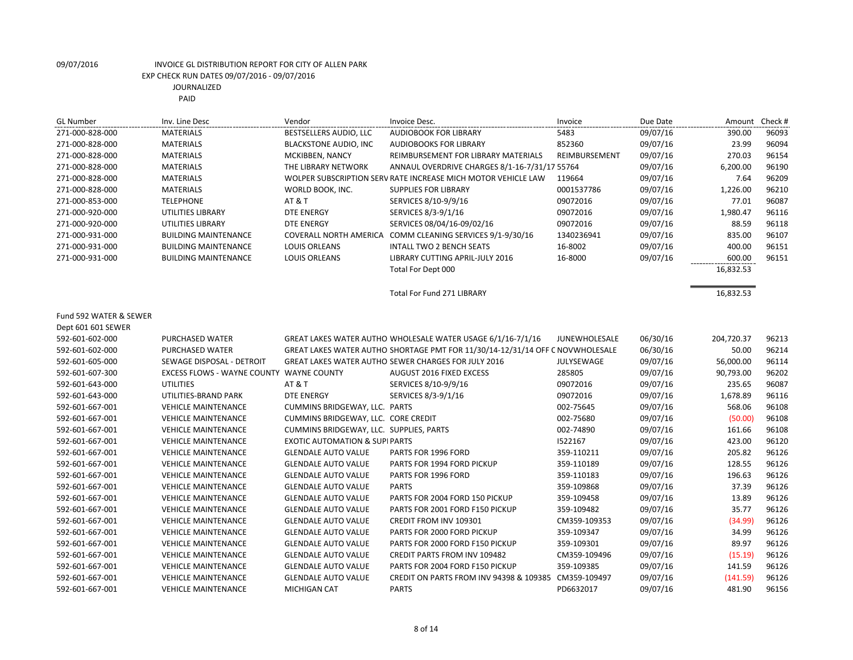| <b>GL Number</b>       | Inv. Line Desc                     | Vendor                                   | Invoice Desc.                                                                 | Invoice              | Due Date | Amount     | Check # |
|------------------------|------------------------------------|------------------------------------------|-------------------------------------------------------------------------------|----------------------|----------|------------|---------|
| 271-000-828-000        | <b>MATERIALS</b>                   | BESTSELLERS AUDIO, LLC                   | <b>AUDIOBOOK FOR LIBRARY</b>                                                  | 5483                 | 09/07/16 | 390.00     | 96093   |
| 271-000-828-000        | <b>MATERIALS</b>                   | <b>BLACKSTONE AUDIO, INC</b>             | <b>AUDIOBOOKS FOR LIBRARY</b>                                                 | 852360               | 09/07/16 | 23.99      | 96094   |
| 271-000-828-000        | <b>MATERIALS</b>                   | MCKIBBEN, NANCY                          | REIMBURSEMENT FOR LIBRARY MATERIALS                                           | REIMBURSEMENT        | 09/07/16 | 270.03     | 96154   |
| 271-000-828-000        | <b>MATERIALS</b>                   | THE LIBRARY NETWORK                      | ANNAUL OVERDRIVE CHARGES 8/1-16-7/31/17 55764                                 |                      | 09/07/16 | 6,200.00   | 96190   |
| 271-000-828-000        | <b>MATERIALS</b>                   |                                          | WOLPER SUBSCRIPTION SERV RATE INCREASE MICH MOTOR VEHICLE LAW                 | 119664               | 09/07/16 | 7.64       | 96209   |
| 271-000-828-000        | <b>MATERIALS</b>                   | WORLD BOOK, INC.                         | <b>SUPPLIES FOR LIBRARY</b>                                                   | 0001537786           | 09/07/16 | 1,226.00   | 96210   |
| 271-000-853-000        | <b>TELEPHONE</b>                   | AT&T                                     | SERVICES 8/10-9/9/16                                                          | 09072016             | 09/07/16 | 77.01      | 96087   |
| 271-000-920-000        | <b>UTILITIES LIBRARY</b>           | <b>DTE ENERGY</b>                        | SERVICES 8/3-9/1/16                                                           | 09072016             | 09/07/16 | 1,980.47   | 96116   |
| 271-000-920-000        | UTILITIES LIBRARY                  | <b>DTE ENERGY</b>                        | SERVICES 08/04/16-09/02/16                                                    | 09072016             | 09/07/16 | 88.59      | 96118   |
| 271-000-931-000        | <b>BUILDING MAINTENANCE</b>        |                                          | COVERALL NORTH AMERICA COMM CLEANING SERVICES 9/1-9/30/16                     | 1340236941           | 09/07/16 | 835.00     | 96107   |
| 271-000-931-000        | <b>BUILDING MAINTENANCE</b>        | <b>LOUIS ORLEANS</b>                     | <b>INTALL TWO 2 BENCH SEATS</b>                                               | 16-8002              | 09/07/16 | 400.00     | 96151   |
| 271-000-931-000        | <b>BUILDING MAINTENANCE</b>        | <b>LOUIS ORLEANS</b>                     | LIBRARY CUTTING APRIL-JULY 2016                                               | 16-8000              | 09/07/16 | 600.00     | 96151   |
|                        |                                    |                                          | Total For Dept 000                                                            |                      |          | 16,832.53  |         |
|                        |                                    |                                          |                                                                               |                      |          |            |         |
|                        |                                    |                                          | <b>Total For Fund 271 LIBRARY</b>                                             |                      |          | 16,832.53  |         |
|                        |                                    |                                          |                                                                               |                      |          |            |         |
| Fund 592 WATER & SEWER |                                    |                                          |                                                                               |                      |          |            |         |
| Dept 601 601 SEWER     |                                    |                                          |                                                                               |                      |          |            |         |
| 592-601-602-000        | <b>PURCHASED WATER</b>             |                                          | GREAT LAKES WATER AUTHO WHOLESALE WATER USAGE 6/1/16-7/1/16                   | <b>JUNEWHOLESALE</b> | 06/30/16 | 204,720.37 | 96213   |
| 592-601-602-000        | <b>PURCHASED WATER</b>             |                                          | GREAT LAKES WATER AUTHO SHORTAGE PMT FOR 11/30/14-12/31/14 OFF C NOVWHOLESALE |                      | 06/30/16 | 50.00      | 96214   |
| 592-601-605-000        | SEWAGE DISPOSAL - DETROIT          |                                          | <b>GREAT LAKES WATER AUTHO SEWER CHARGES FOR JULY 2016</b>                    | JULYSEWAGE           | 09/07/16 | 56,000.00  | 96114   |
| 592-601-607-300        | <b>EXCESS FLOWS - WAYNE COUNTY</b> | <b>WAYNE COUNTY</b>                      | AUGUST 2016 FIXED EXCESS                                                      | 285805               | 09/07/16 | 90,793.00  | 96202   |
| 592-601-643-000        | <b>UTILITIES</b>                   | AT&T                                     | SERVICES 8/10-9/9/16                                                          | 09072016             | 09/07/16 | 235.65     | 96087   |
| 592-601-643-000        | UTILITIES-BRAND PARK               | <b>DTE ENERGY</b>                        | SERVICES 8/3-9/1/16                                                           | 09072016             | 09/07/16 | 1,678.89   | 96116   |
| 592-601-667-001        | <b>VEHICLE MAINTENANCE</b>         | CUMMINS BRIDGEWAY, LLC. PARTS            |                                                                               | 002-75645            | 09/07/16 | 568.06     | 96108   |
| 592-601-667-001        | <b>VEHICLE MAINTENANCE</b>         | CUMMINS BRIDGEWAY, LLC. CORE CREDIT      |                                                                               | 002-75680            | 09/07/16 | (50.00)    | 96108   |
| 592-601-667-001        | <b>VEHICLE MAINTENANCE</b>         | CUMMINS BRIDGEWAY, LLC. SUPPLIES, PARTS  |                                                                               | 002-74890            | 09/07/16 | 161.66     | 96108   |
| 592-601-667-001        | <b>VEHICLE MAINTENANCE</b>         | <b>EXOTIC AUTOMATION &amp; SUPIPARTS</b> |                                                                               | 1522167              | 09/07/16 | 423.00     | 96120   |
| 592-601-667-001        | <b>VEHICLE MAINTENANCE</b>         | <b>GLENDALE AUTO VALUE</b>               | PARTS FOR 1996 FORD                                                           | 359-110211           | 09/07/16 | 205.82     | 96126   |
| 592-601-667-001        | <b>VEHICLE MAINTENANCE</b>         | <b>GLENDALE AUTO VALUE</b>               | PARTS FOR 1994 FORD PICKUP                                                    | 359-110189           | 09/07/16 | 128.55     | 96126   |
| 592-601-667-001        | <b>VEHICLE MAINTENANCE</b>         | <b>GLENDALE AUTO VALUE</b>               | PARTS FOR 1996 FORD                                                           | 359-110183           | 09/07/16 | 196.63     | 96126   |
| 592-601-667-001        | <b>VEHICLE MAINTENANCE</b>         | <b>GLENDALE AUTO VALUE</b>               | <b>PARTS</b>                                                                  | 359-109868           | 09/07/16 | 37.39      | 96126   |
| 592-601-667-001        | <b>VEHICLE MAINTENANCE</b>         | <b>GLENDALE AUTO VALUE</b>               | PARTS FOR 2004 FORD 150 PICKUP                                                | 359-109458           | 09/07/16 | 13.89      | 96126   |
| 592-601-667-001        | <b>VEHICLE MAINTENANCE</b>         | <b>GLENDALE AUTO VALUE</b>               | PARTS FOR 2001 FORD F150 PICKUP                                               | 359-109482           | 09/07/16 | 35.77      | 96126   |

8 of 14

592-601-667-001 VEHICLE MAINTENANCE GLENDALE AUTO VALUE CREDIT FROM INV 109301 CM359-109353 09/07/16 (34.99) 96126 592-601-667-001 VEHICLE MAINTENANCE GLENDALE AUTO VALUE PARTS FOR 2000 FORD PICKUP 359-109347 09/07/16 34.99 96126 592-601-667-001 VEHICLE MAINTENANCE GLENDALE AUTO VALUE PARTS FOR 2000 FORD F150 PICKUP 359-109301 09/07/16 89.97 96126 592-601-667-001 VEHICLE MAINTENANCE GLENDALE AUTO VALUE CREDIT PARTS FROM INV 109482 CM359-109496 09/07/16 (15.19) 96126 592-601-667-001 VEHICLE MAINTENANCE GLENDALE AUTO VALUE PARTS FOR 2004 FORD F150 PICKUP 359-109385 09/07/16 141.59 96126 592-601-667-001 VEHICLE MAINTENANCE GLENDALE AUTO VALUE CREDIT ON PARTS FROM INV 94398 & 109385 CM359-109497 09/07/16 (141.59) 96126 592-601-667-001 VEHICLE MAINTENANCE MICHIGAN CAT PARTS PD6632017 09/07/16 481.90 96156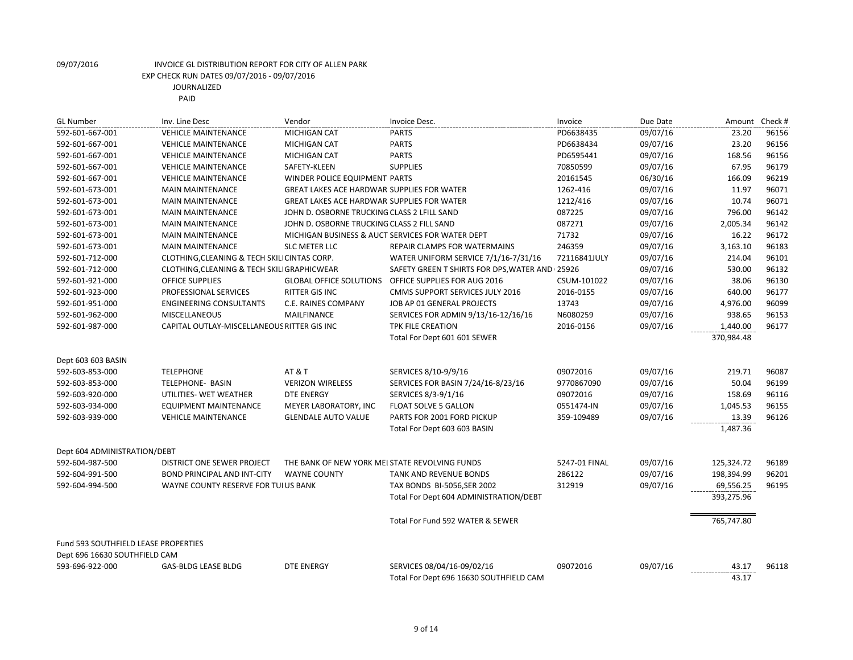| <b>GL Number</b>                     | Inv. Line Desc                               | Vendor                                            | Invoice Desc.                                  | Invoice       | Due Date | Amount     | Check # |
|--------------------------------------|----------------------------------------------|---------------------------------------------------|------------------------------------------------|---------------|----------|------------|---------|
| 592-601-667-001                      | <b>VEHICLE MAINTENANCE</b>                   | MICHIGAN CAT                                      | <b>PARTS</b>                                   | PD6638435     | 09/07/16 | 23.20      | 96156   |
| 592-601-667-001                      | <b>VEHICLE MAINTENANCE</b>                   | <b>MICHIGAN CAT</b>                               | <b>PARTS</b>                                   | PD6638434     | 09/07/16 | 23.20      | 96156   |
| 592-601-667-001                      | <b>VEHICLE MAINTENANCE</b>                   | <b>MICHIGAN CAT</b>                               | <b>PARTS</b>                                   | PD6595441     | 09/07/16 | 168.56     | 96156   |
| 592-601-667-001                      | <b>VEHICLE MAINTENANCE</b>                   | SAFETY-KLEEN                                      | <b>SUPPLIES</b>                                | 70850599      | 09/07/16 | 67.95      | 96179   |
| 592-601-667-001                      | <b>VEHICLE MAINTENANCE</b>                   | WINDER POLICE EQUIPMENT PARTS                     |                                                | 20161545      | 06/30/16 | 166.09     | 96219   |
| 592-601-673-001                      | <b>MAIN MAINTENANCE</b>                      | <b>GREAT LAKES ACE HARDWAR SUPPLIES FOR WATER</b> |                                                | 1262-416      | 09/07/16 | 11.97      | 96071   |
| 592-601-673-001                      | <b>MAIN MAINTENANCE</b>                      | <b>GREAT LAKES ACE HARDWAR SUPPLIES FOR WATER</b> |                                                | 1212/416      | 09/07/16 | 10.74      | 96071   |
| 592-601-673-001                      | <b>MAIN MAINTENANCE</b>                      | JOHN D. OSBORNE TRUCKING CLASS 2 LFILL SAND       |                                                | 087225        | 09/07/16 | 796.00     | 96142   |
| 592-601-673-001                      | <b>MAIN MAINTENANCE</b>                      | JOHN D. OSBORNE TRUCKING CLASS 2 FILL SAND        |                                                | 087271        | 09/07/16 | 2,005.34   | 96142   |
| 592-601-673-001                      | <b>MAIN MAINTENANCE</b>                      | MICHIGAN BUSINESS & AUCT SERVICES FOR WATER DEPT  |                                                | 71732         | 09/07/16 | 16.22      | 96172   |
| 592-601-673-001                      | <b>MAIN MAINTENANCE</b>                      | <b>SLC METER LLC</b>                              | REPAIR CLAMPS FOR WATERMAINS                   | 246359        | 09/07/16 | 3,163.10   | 96183   |
| 592-601-712-000                      | CLOTHING, CLEANING & TECH SKILI CINTAS CORP. |                                                   | WATER UNIFORM SERVICE 7/1/16-7/31/16           | 72116841JULY  | 09/07/16 | 214.04     | 96101   |
| 592-601-712-000                      | CLOTHING, CLEANING & TECH SKILI GRAPHICWEAR  |                                                   | SAFETY GREEN T SHIRTS FOR DPS, WATER AND 25926 |               | 09/07/16 | 530.00     | 96132   |
| 592-601-921-000                      | <b>OFFICE SUPPLIES</b>                       | <b>GLOBAL OFFICE SOLUTIONS</b>                    | OFFICE SUPPLIES FOR AUG 2016                   | CSUM-101022   | 09/07/16 | 38.06      | 96130   |
| 592-601-923-000                      | PROFESSIONAL SERVICES                        | <b>RITTER GIS INC</b>                             | <b>CMMS SUPPORT SERVICES JULY 2016</b>         | 2016-0155     | 09/07/16 | 640.00     | 96177   |
| 592-601-951-000                      | <b>ENGINEERING CONSULTANTS</b>               | C.E. RAINES COMPANY                               | JOB AP 01 GENERAL PROJECTS                     | 13743         | 09/07/16 | 4,976.00   | 96099   |
| 592-601-962-000                      | <b>MISCELLANEOUS</b>                         | MAILFINANCE                                       | SERVICES FOR ADMIN 9/13/16-12/16/16            | N6080259      | 09/07/16 | 938.65     | 96153   |
| 592-601-987-000                      | CAPITAL OUTLAY-MISCELLANEOUS RITTER GIS INC  |                                                   | <b>TPK FILE CREATION</b>                       | 2016-0156     | 09/07/16 | 1,440.00   | 96177   |
|                                      |                                              |                                                   | Total For Dept 601 601 SEWER                   |               |          | 370,984.48 |         |
|                                      |                                              |                                                   |                                                |               |          |            |         |
| Dept 603 603 BASIN                   |                                              |                                                   |                                                |               |          |            |         |
| 592-603-853-000                      | <b>TELEPHONE</b>                             | <b>AT &amp; T</b>                                 | SERVICES 8/10-9/9/16                           | 09072016      | 09/07/16 | 219.71     | 96087   |
| 592-603-853-000                      | <b>TELEPHONE- BASIN</b>                      | <b>VERIZON WIRELESS</b>                           | SERVICES FOR BASIN 7/24/16-8/23/16             | 9770867090    | 09/07/16 | 50.04      | 96199   |
| 592-603-920-000                      | UTILITIES- WET WEATHER                       | <b>DTE ENERGY</b>                                 | SERVICES 8/3-9/1/16                            | 09072016      | 09/07/16 | 158.69     | 96116   |
| 592-603-934-000                      | <b>EQUIPMENT MAINTENANCE</b>                 | MEYER LABORATORY, INC                             | <b>FLOAT SOLVE 5 GALLON</b>                    | 0551474-IN    | 09/07/16 | 1,045.53   | 96155   |
| 592-603-939-000                      | <b>VEHICLE MAINTENANCE</b>                   | <b>GLENDALE AUTO VALUE</b>                        | PARTS FOR 2001 FORD PICKUP                     | 359-109489    | 09/07/16 | 13.39      | 96126   |
|                                      |                                              |                                                   | Total For Dept 603 603 BASIN                   |               |          | 1,487.36   |         |
|                                      |                                              |                                                   |                                                |               |          |            |         |
| Dept 604 ADMINISTRATION/DEBT         |                                              |                                                   |                                                |               |          |            |         |
| 592-604-987-500                      | DISTRICT ONE SEWER PROJECT                   | THE BANK OF NEW YORK MEI STATE REVOLVING FUNDS    |                                                | 5247-01 FINAL | 09/07/16 | 125,324.72 | 96189   |
| 592-604-991-500                      | <b>BOND PRINCIPAL AND INT-CITY</b>           | <b>WAYNE COUNTY</b>                               | TANK AND REVENUE BONDS                         | 286122        | 09/07/16 | 198,394.99 | 96201   |
| 592-604-994-500                      | WAYNE COUNTY RESERVE FOR TUI US BANK         |                                                   | TAX BONDS BI-5056, SER 2002                    | 312919        | 09/07/16 | 69,556.25  | 96195   |
|                                      |                                              |                                                   | Total For Dept 604 ADMINISTRATION/DEBT         |               |          | 393,275.96 |         |
|                                      |                                              |                                                   |                                                |               |          |            |         |
|                                      |                                              |                                                   | Total For Fund 592 WATER & SEWER               |               |          | 765,747.80 |         |
| Fund 593 SOUTHFIELD LEASE PROPERTIES |                                              |                                                   |                                                |               |          |            |         |
| Dept 696 16630 SOUTHFIELD CAM        |                                              |                                                   |                                                |               |          |            |         |
| 593-696-922-000                      | <b>GAS-BLDG LEASE BLDG</b>                   | <b>DTE ENERGY</b>                                 | SERVICES 08/04/16-09/02/16                     | 09072016      | 09/07/16 | 43.17      | 96118   |
|                                      |                                              |                                                   | Total For Dept 696 16630 SOUTHFIELD CAM        |               |          | 43.17      |         |
|                                      |                                              |                                                   |                                                |               |          |            |         |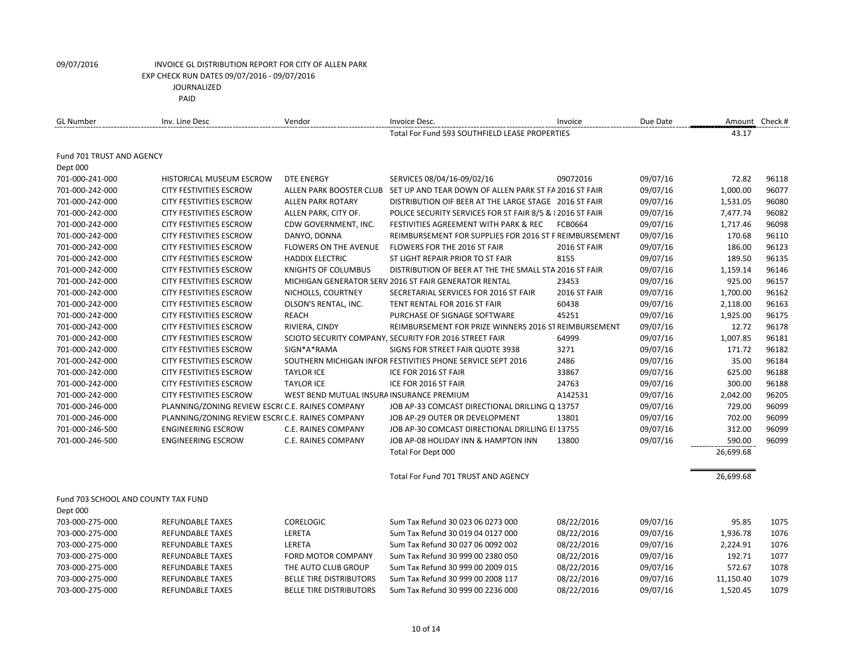| <b>GL Number</b>                    | Inv. Line Desc                                  | Vendor                                    | Invoice Desc.                                                                 | Invoice             | Due Date | Amount Check # |       |
|-------------------------------------|-------------------------------------------------|-------------------------------------------|-------------------------------------------------------------------------------|---------------------|----------|----------------|-------|
|                                     |                                                 |                                           | Total For Fund 593 SOUTHFIELD LEASE PROPERTIES                                |                     |          | 43.17          |       |
| Fund 701 TRUST AND AGENCY           |                                                 |                                           |                                                                               |                     |          |                |       |
| Dept 000                            |                                                 |                                           |                                                                               |                     |          |                |       |
| 701-000-241-000                     | HISTORICAL MUSEUM ESCROW                        | DTE ENERGY                                | SERVICES 08/04/16-09/02/16                                                    | 09072016            | 09/07/16 | 72.82          | 96118 |
| 701-000-242-000                     | <b>CITY FESTIVITIES ESCROW</b>                  |                                           | ALLEN PARK BOOSTER CLUB SET UP AND TEAR DOWN OF ALLEN PARK ST FA 2016 ST FAIR |                     | 09/07/16 | 1,000.00       | 96077 |
| 701-000-242-000                     | <b>CITY FESTIVITIES ESCROW</b>                  | <b>ALLEN PARK ROTARY</b>                  | DISTRIBUTION OIF BEER AT THE LARGE STAGE 2016 ST FAIR                         |                     | 09/07/16 | 1,531.05       | 96080 |
| 701-000-242-000                     | <b>CITY FESTIVITIES ESCROW</b>                  | ALLEN PARK, CITY OF.                      | POLICE SECURITY SERVICES FOR ST FAIR 8/5 & 12016 ST FAIR                      |                     | 09/07/16 | 7,477.74       | 96082 |
| 701-000-242-000                     | <b>CITY FESTIVITIES ESCROW</b>                  | CDW GOVERNMENT, INC.                      | FESTIVITIES AGREEMENT WITH PARK & REC                                         | <b>FCB0664</b>      | 09/07/16 | 1,717.46       | 96098 |
| 701-000-242-000                     | <b>CITY FESTIVITIES ESCROW</b>                  | DANYO, DONNA                              | REIMBURSEMENT FOR SUPPLIES FOR 2016 ST F REIMBURSEMENT                        |                     | 09/07/16 | 170.68         | 96110 |
| 701-000-242-000                     | <b>CITY FESTIVITIES ESCROW</b>                  | <b>FLOWERS ON THE AVENUE</b>              | FLOWERS FOR THE 2016 ST FAIR                                                  | <b>2016 ST FAIR</b> | 09/07/16 | 186.00         | 96123 |
| 701-000-242-000                     | <b>CITY FESTIVITIES ESCROW</b>                  | <b>HADDIX ELECTRIC</b>                    | ST LIGHT REPAIR PRIOR TO ST FAIR                                              | 8155                | 09/07/16 | 189.50         | 96135 |
| 701-000-242-000                     | <b>CITY FESTIVITIES ESCROW</b>                  | KNIGHTS OF COLUMBUS                       | DISTRIBUTION OF BEER AT THE THE SMALL STA 2016 ST FAIR                        |                     | 09/07/16 | 1,159.14       | 96146 |
| 701-000-242-000                     | CITY FESTIVITIES ESCROW                         |                                           | MICHIGAN GENERATOR SERV 2016 ST FAIR GENERATOR RENTAL                         | 23453               | 09/07/16 | 925.00         | 96157 |
| 701-000-242-000                     | <b>CITY FESTIVITIES ESCROW</b>                  | NICHOLLS, COURTNEY                        | SECRETARIAL SERVICES FOR 2016 ST FAIR                                         | 2016 ST FAIR        | 09/07/16 | 1,700.00       | 96162 |
| 701-000-242-000                     | <b>CITY FESTIVITIES ESCROW</b>                  | OLSON'S RENTAL, INC.                      | TENT RENTAL FOR 2016 ST FAIR                                                  | 60438               | 09/07/16 | 2,118.00       | 96163 |
| 701-000-242-000                     | <b>CITY FESTIVITIES ESCROW</b>                  | <b>REACH</b>                              | PURCHASE OF SIGNAGE SOFTWARE                                                  | 45251               | 09/07/16 | 1,925.00       | 96175 |
| 701-000-242-000                     | <b>CITY FESTIVITIES ESCROW</b>                  | RIVIERA, CINDY                            | REIMBURSEMENT FOR PRIZE WINNERS 2016 ST REIMBURSEMENT                         |                     | 09/07/16 | 12.72          | 96178 |
| 701-000-242-000                     | <b>CITY FESTIVITIES ESCROW</b>                  |                                           | SCIOTO SECURITY COMPANY, SECURITY FOR 2016 STREET FAIR                        | 64999               | 09/07/16 | 1,007.85       | 96181 |
| 701-000-242-000                     | <b>CITY FESTIVITIES ESCROW</b>                  | SIGN*A*RAMA                               | SIGNS FOR STREET FAIR QUOTE 3938                                              | 3271                | 09/07/16 | 171.72         | 96182 |
| 701-000-242-000                     | <b>CITY FESTIVITIES ESCROW</b>                  |                                           | SOUTHERN MICHIGAN INFOR FESTIVITIES PHONE SERVICE SEPT 2016                   | 2486                | 09/07/16 | 35.00          | 96184 |
| 701-000-242-000                     | CITY FESTIVITIES ESCROW                         | <b>TAYLOR ICE</b>                         | ICE FOR 2016 ST FAIR                                                          | 33867               | 09/07/16 | 625.00         | 96188 |
| 701-000-242-000                     | <b>CITY FESTIVITIES ESCROW</b>                  | <b>TAYLOR ICE</b>                         | ICE FOR 2016 ST FAIR                                                          | 24763               | 09/07/16 | 300.00         | 96188 |
| 701-000-242-000                     | <b>CITY FESTIVITIES ESCROW</b>                  | WEST BEND MUTUAL INSURA INSURANCE PREMIUM |                                                                               | A142531             | 09/07/16 | 2,042.00       | 96205 |
| 701-000-246-000                     | PLANNING/ZONING REVIEW ESCR(C.E. RAINES COMPANY |                                           | JOB AP-33 COMCAST DIRECTIONAL DRILLING Q 13757                                |                     | 09/07/16 | 729.00         | 96099 |
| 701-000-246-000                     | PLANNING/ZONING REVIEW ESCR(C.E. RAINES COMPANY |                                           | JOB AP-29 OUTER DR DEVELOPMENT                                                | 13801               | 09/07/16 | 702.00         | 96099 |
| 701-000-246-500                     | <b>ENGINEERING ESCROW</b>                       | C.E. RAINES COMPANY                       | JOB AP-30 COMCAST DIRECTIONAL DRILLING EI 13755                               |                     | 09/07/16 | 312.00         | 96099 |
| 701-000-246-500                     | <b>ENGINEERING ESCROW</b>                       | <b>C.E. RAINES COMPANY</b>                | JOB AP-08 HOLIDAY INN & HAMPTON INN                                           | 13800               | 09/07/16 | 590.00         | 96099 |
|                                     |                                                 |                                           | Total For Dept 000                                                            |                     |          | 26,699.68      |       |
|                                     |                                                 |                                           | Total For Fund 701 TRUST AND AGENCY                                           |                     |          | 26,699.68      |       |
| Fund 703 SCHOOL AND COUNTY TAX FUND |                                                 |                                           |                                                                               |                     |          |                |       |
| Dept 000                            |                                                 |                                           |                                                                               |                     |          |                |       |
| 703-000-275-000                     | <b>REFUNDABLE TAXES</b>                         | <b>CORELOGIC</b>                          | Sum Tax Refund 30 023 06 0273 000                                             | 08/22/2016          | 09/07/16 | 95.85          | 1075  |
| 703-000-275-000                     | <b>REFUNDABLE TAXES</b>                         | LERETA                                    | Sum Tax Refund 30 019 04 0127 000                                             | 08/22/2016          | 09/07/16 | 1,936.78       | 1076  |
| 703-000-275-000                     | <b>REFUNDABLE TAXES</b>                         | LERETA                                    | Sum Tax Refund 30 027 06 0092 002                                             | 08/22/2016          | 09/07/16 | 2,224.91       | 1076  |
| 703-000-275-000                     | <b>REFUNDABLE TAXES</b>                         | <b>FORD MOTOR COMPANY</b>                 | Sum Tax Refund 30 999 00 2380 050                                             | 08/22/2016          | 09/07/16 | 192.71         | 1077  |
| 703-000-275-000                     | <b>REFUNDABLE TAXES</b>                         | THE AUTO CLUB GROUP                       | Sum Tax Refund 30 999 00 2009 015                                             | 08/22/2016          | 09/07/16 | 572.67         | 1078  |
| 703-000-275-000                     | <b>REFUNDABLE TAXES</b>                         | <b>BELLE TIRE DISTRIBUTORS</b>            | Sum Tax Refund 30 999 00 2008 117                                             | 08/22/2016          | 09/07/16 | 11,150.40      | 1079  |
| 703-000-275-000                     | <b>REFUNDABLE TAXES</b>                         | <b>BELLE TIRE DISTRIBUTORS</b>            | Sum Tax Refund 30 999 00 2236 000                                             | 08/22/2016          | 09/07/16 | 1,520.45       | 1079  |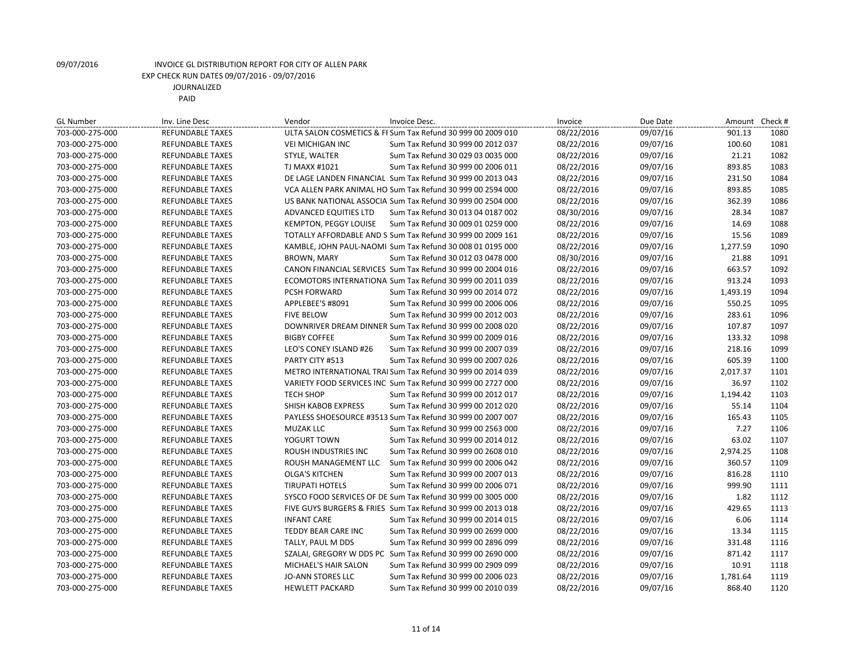| <b>GL Number</b> | Inv. Line Desc          | Vendor                   | Invoice Desc.                                               | Invoice    | Due Date | Amount Check # |      |
|------------------|-------------------------|--------------------------|-------------------------------------------------------------|------------|----------|----------------|------|
| 703-000-275-000  | <b>REFUNDABLE TAXES</b> |                          | ULTA SALON COSMETICS & FI Sum Tax Refund 30 999 00 2009 010 | 08/22/2016 | 09/07/16 | 901.13         | 1080 |
| 703-000-275-000  | <b>REFUNDABLE TAXES</b> | <b>VEI MICHIGAN INC</b>  | Sum Tax Refund 30 999 00 2012 037                           | 08/22/2016 | 09/07/16 | 100.60         | 1081 |
| 703-000-275-000  | <b>REFUNDABLE TAXES</b> | STYLE, WALTER            | Sum Tax Refund 30 029 03 0035 000                           | 08/22/2016 | 09/07/16 | 21.21          | 1082 |
| 703-000-275-000  | <b>REFUNDABLE TAXES</b> | TJ MAXX #1021            | Sum Tax Refund 30 999 00 2006 011                           | 08/22/2016 | 09/07/16 | 893.85         | 1083 |
| 703-000-275-000  | <b>REFUNDABLE TAXES</b> |                          | DE LAGE LANDEN FINANCIAL: Sum Tax Refund 30 999 00 2013 043 | 08/22/2016 | 09/07/16 | 231.50         | 1084 |
| 703-000-275-000  | <b>REFUNDABLE TAXES</b> |                          | VCA ALLEN PARK ANIMAL HO Sum Tax Refund 30 999 00 2594 000  | 08/22/2016 | 09/07/16 | 893.85         | 1085 |
| 703-000-275-000  | <b>REFUNDABLE TAXES</b> |                          | US BANK NATIONAL ASSOCIA Sum Tax Refund 30 999 00 2504 000  | 08/22/2016 | 09/07/16 | 362.39         | 1086 |
| 703-000-275-000  | <b>REFUNDABLE TAXES</b> | ADVANCED EQUITIES LTD    | Sum Tax Refund 30 013 04 0187 002                           | 08/30/2016 | 09/07/16 | 28.34          | 1087 |
| 703-000-275-000  | <b>REFUNDABLE TAXES</b> | KEMPTON, PEGGY LOUISE    | Sum Tax Refund 30 009 01 0259 000                           | 08/22/2016 | 09/07/16 | 14.69          | 1088 |
| 703-000-275-000  | <b>REFUNDABLE TAXES</b> |                          | TOTALLY AFFORDABLE AND S Sum Tax Refund 30 999 00 2009 161  | 08/22/2016 | 09/07/16 | 15.56          | 1089 |
| 703-000-275-000  | <b>REFUNDABLE TAXES</b> |                          | KAMBLE, JOHN PAUL-NAOMI Sum Tax Refund 30 008 01 0195 000   | 08/22/2016 | 09/07/16 | 1,277.59       | 1090 |
| 703-000-275-000  | <b>REFUNDABLE TAXES</b> | <b>BROWN, MARY</b>       | Sum Tax Refund 30 012 03 0478 000                           | 08/30/2016 | 09/07/16 | 21.88          | 1091 |
| 703-000-275-000  | <b>REFUNDABLE TAXES</b> |                          | CANON FINANCIAL SERVICES Sum Tax Refund 30 999 00 2004 016  | 08/22/2016 | 09/07/16 | 663.57         | 1092 |
| 703-000-275-000  | <b>REFUNDABLE TAXES</b> |                          | ECOMOTORS INTERNATIONAl Sum Tax Refund 30 999 00 2011 039   | 08/22/2016 | 09/07/16 | 913.24         | 1093 |
| 703-000-275-000  | <b>REFUNDABLE TAXES</b> | PCSH FORWARD             | Sum Tax Refund 30 999 00 2014 072                           | 08/22/2016 | 09/07/16 | 1,493.19       | 1094 |
| 703-000-275-000  | REFUNDABLE TAXES        | APPLEBEE'S #8091         | Sum Tax Refund 30 999 00 2006 006                           | 08/22/2016 | 09/07/16 | 550.25         | 1095 |
| 703-000-275-000  | <b>REFUNDABLE TAXES</b> | <b>FIVE BELOW</b>        | Sum Tax Refund 30 999 00 2012 003                           | 08/22/2016 | 09/07/16 | 283.61         | 1096 |
| 703-000-275-000  | <b>REFUNDABLE TAXES</b> |                          | DOWNRIVER DREAM DINNER Sum Tax Refund 30 999 00 2008 020    | 08/22/2016 | 09/07/16 | 107.87         | 1097 |
| 703-000-275-000  | <b>REFUNDABLE TAXES</b> | <b>BIGBY COFFEE</b>      | Sum Tax Refund 30 999 00 2009 016                           | 08/22/2016 | 09/07/16 | 133.32         | 1098 |
| 703-000-275-000  | <b>REFUNDABLE TAXES</b> | LEO'S CONEY ISLAND #26   | Sum Tax Refund 30 999 00 2007 039                           | 08/22/2016 | 09/07/16 | 218.16         | 1099 |
| 703-000-275-000  | REFUNDABLE TAXES        | PARTY CITY #513          | Sum Tax Refund 30 999 00 2007 026                           | 08/22/2016 | 09/07/16 | 605.39         | 1100 |
| 703-000-275-000  | <b>REFUNDABLE TAXES</b> |                          | METRO INTERNATIONAL TRAI Sum Tax Refund 30 999 00 2014 039  | 08/22/2016 | 09/07/16 | 2,017.37       | 1101 |
| 703-000-275-000  | REFUNDABLE TAXES        |                          | VARIETY FOOD SERVICES INC Sum Tax Refund 30 999 00 2727 000 | 08/22/2016 | 09/07/16 | 36.97          | 1102 |
| 703-000-275-000  | <b>REFUNDABLE TAXES</b> | <b>TECH SHOP</b>         | Sum Tax Refund 30 999 00 2012 017                           | 08/22/2016 | 09/07/16 | 1,194.42       | 1103 |
| 703-000-275-000  | <b>REFUNDABLE TAXES</b> | SHISH KABOB EXPRESS      | Sum Tax Refund 30 999 00 2012 020                           | 08/22/2016 | 09/07/16 | 55.14          | 1104 |
| 703-000-275-000  | <b>REFUNDABLE TAXES</b> |                          | PAYLESS SHOESOURCE #3513 Sum Tax Refund 30 999 00 2007 007  | 08/22/2016 | 09/07/16 | 165.43         | 1105 |
| 703-000-275-000  | REFUNDABLE TAXES        | <b>MUZAK LLC</b>         | Sum Tax Refund 30 999 00 2563 000                           | 08/22/2016 | 09/07/16 | 7.27           | 1106 |
| 703-000-275-000  | <b>REFUNDABLE TAXES</b> | YOGURT TOWN              | Sum Tax Refund 30 999 00 2014 012                           | 08/22/2016 | 09/07/16 | 63.02          | 1107 |
| 703-000-275-000  | <b>REFUNDABLE TAXES</b> | ROUSH INDUSTRIES INC     | Sum Tax Refund 30 999 00 2608 010                           | 08/22/2016 | 09/07/16 | 2,974.25       | 1108 |
| 703-000-275-000  | <b>REFUNDABLE TAXES</b> | ROUSH MANAGEMENT LLC     | Sum Tax Refund 30 999 00 2006 042                           | 08/22/2016 | 09/07/16 | 360.57         | 1109 |
| 703-000-275-000  | <b>REFUNDABLE TAXES</b> | <b>OLGA'S KITCHEN</b>    | Sum Tax Refund 30 999 00 2007 013                           | 08/22/2016 | 09/07/16 | 816.28         | 1110 |
| 703-000-275-000  | <b>REFUNDABLE TAXES</b> | <b>TIRUPATI HOTELS</b>   | Sum Tax Refund 30 999 00 2006 071                           | 08/22/2016 | 09/07/16 | 999.90         | 1111 |
| 703-000-275-000  | <b>REFUNDABLE TAXES</b> |                          | SYSCO FOOD SERVICES OF DE Sum Tax Refund 30 999 00 3005 000 | 08/22/2016 | 09/07/16 | 1.82           | 1112 |
| 703-000-275-000  | <b>REFUNDABLE TAXES</b> |                          | FIVE GUYS BURGERS & FRIES Sum Tax Refund 30 999 00 2013 018 | 08/22/2016 | 09/07/16 | 429.65         | 1113 |
| 703-000-275-000  | <b>REFUNDABLE TAXES</b> | <b>INFANT CARE</b>       | Sum Tax Refund 30 999 00 2014 015                           | 08/22/2016 | 09/07/16 | 6.06           | 1114 |
| 703-000-275-000  | REFUNDABLE TAXES        | TEDDY BEAR CARE INC      | Sum Tax Refund 30 999 00 2699 000                           | 08/22/2016 | 09/07/16 | 13.34          | 1115 |
| 703-000-275-000  | <b>REFUNDABLE TAXES</b> | TALLY, PAUL M DDS        | Sum Tax Refund 30 999 00 2896 099                           | 08/22/2016 | 09/07/16 | 331.48         | 1116 |
| 703-000-275-000  | REFUNDABLE TAXES        |                          | SZALAI, GREGORY W DDS PC Sum Tax Refund 30 999 00 2690 000  | 08/22/2016 | 09/07/16 | 871.42         | 1117 |
| 703-000-275-000  | <b>REFUNDABLE TAXES</b> | MICHAEL'S HAIR SALON     | Sum Tax Refund 30 999 00 2909 099                           | 08/22/2016 | 09/07/16 | 10.91          | 1118 |
| 703-000-275-000  | <b>REFUNDABLE TAXES</b> | <b>JO-ANN STORES LLC</b> | Sum Tax Refund 30 999 00 2006 023                           | 08/22/2016 | 09/07/16 | 1,781.64       | 1119 |
| 703-000-275-000  | <b>REFUNDABLE TAXES</b> | <b>HEWLETT PACKARD</b>   | Sum Tax Refund 30 999 00 2010 039                           | 08/22/2016 | 09/07/16 | 868.40         | 1120 |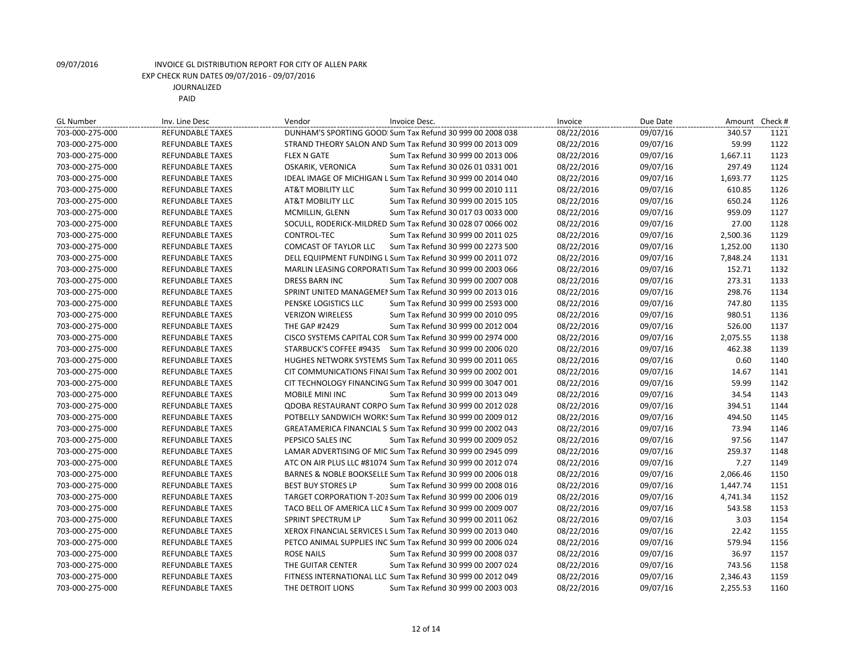| <b>GL Number</b> | Inv. Line Desc          | Vendor<br>Invoice Desc.                                        | Invoice    | Due Date | Amount Check # |      |
|------------------|-------------------------|----------------------------------------------------------------|------------|----------|----------------|------|
| 703-000-275-000  | <b>REFUNDABLE TAXES</b> | DUNHAM'S SPORTING GOOD: Sum Tax Refund 30 999 00 2008 038      | 08/22/2016 | 09/07/16 | 340.57         | 1121 |
| 703-000-275-000  | <b>REFUNDABLE TAXES</b> | STRAND THEORY SALON AND Sum Tax Refund 30 999 00 2013 009      | 08/22/2016 | 09/07/16 | 59.99          | 1122 |
| 703-000-275-000  | REFUNDABLE TAXES        | <b>FLEX N GATE</b><br>Sum Tax Refund 30 999 00 2013 006        | 08/22/2016 | 09/07/16 | 1,667.11       | 1123 |
| 703-000-275-000  | <b>REFUNDABLE TAXES</b> | <b>OSKARIK, VERONICA</b><br>Sum Tax Refund 30 026 01 0331 001  | 08/22/2016 | 09/07/16 | 297.49         | 1124 |
| 703-000-275-000  | REFUNDABLE TAXES        | IDEAL IMAGE OF MICHIGAN L Sum Tax Refund 30 999 00 2014 040    | 08/22/2016 | 09/07/16 | 1,693.77       | 1125 |
| 703-000-275-000  | <b>REFUNDABLE TAXES</b> | Sum Tax Refund 30 999 00 2010 111<br>AT&T MOBILITY LLC         | 08/22/2016 | 09/07/16 | 610.85         | 1126 |
| 703-000-275-000  | <b>REFUNDABLE TAXES</b> | AT&T MOBILITY LLC<br>Sum Tax Refund 30 999 00 2015 105         | 08/22/2016 | 09/07/16 | 650.24         | 1126 |
| 703-000-275-000  | <b>REFUNDABLE TAXES</b> | MCMILLIN, GLENN<br>Sum Tax Refund 30 017 03 0033 000           | 08/22/2016 | 09/07/16 | 959.09         | 1127 |
| 703-000-275-000  | <b>REFUNDABLE TAXES</b> | SOCULL, RODERICK-MILDRED Sum Tax Refund 30 028 07 0066 002     | 08/22/2016 | 09/07/16 | 27.00          | 1128 |
| 703-000-275-000  | <b>REFUNDABLE TAXES</b> | CONTROL-TEC<br>Sum Tax Refund 30 999 00 2011 025               | 08/22/2016 | 09/07/16 | 2,500.36       | 1129 |
| 703-000-275-000  | <b>REFUNDABLE TAXES</b> | COMCAST OF TAYLOR LLC<br>Sum Tax Refund 30 999 00 2273 500     | 08/22/2016 | 09/07/16 | 1,252.00       | 1130 |
| 703-000-275-000  | <b>REFUNDABLE TAXES</b> | DELL EQUIPMENT FUNDING L Sum Tax Refund 30 999 00 2011 072     | 08/22/2016 | 09/07/16 | 7,848.24       | 1131 |
| 703-000-275-000  | <b>REFUNDABLE TAXES</b> | MARLIN LEASING CORPORATI Sum Tax Refund 30 999 00 2003 066     | 08/22/2016 | 09/07/16 | 152.71         | 1132 |
| 703-000-275-000  | <b>REFUNDABLE TAXES</b> | <b>DRESS BARN INC</b><br>Sum Tax Refund 30 999 00 2007 008     | 08/22/2016 | 09/07/16 | 273.31         | 1133 |
| 703-000-275-000  | REFUNDABLE TAXES        | SPRINT UNITED MANAGEMEI Sum Tax Refund 30 999 00 2013 016      | 08/22/2016 | 09/07/16 | 298.76         | 1134 |
| 703-000-275-000  | REFUNDABLE TAXES        | PENSKE LOGISTICS LLC<br>Sum Tax Refund 30 999 00 2593 000      | 08/22/2016 | 09/07/16 | 747.80         | 1135 |
| 703-000-275-000  | <b>REFUNDABLE TAXES</b> | <b>VERIZON WIRELESS</b><br>Sum Tax Refund 30 999 00 2010 095   | 08/22/2016 | 09/07/16 | 980.51         | 1136 |
| 703-000-275-000  | <b>REFUNDABLE TAXES</b> | <b>THE GAP #2429</b><br>Sum Tax Refund 30 999 00 2012 004      | 08/22/2016 | 09/07/16 | 526.00         | 1137 |
| 703-000-275-000  | <b>REFUNDABLE TAXES</b> | CISCO SYSTEMS CAPITAL COR Sum Tax Refund 30 999 00 2974 000    | 08/22/2016 | 09/07/16 | 2,075.55       | 1138 |
| 703-000-275-000  | <b>REFUNDABLE TAXES</b> | STARBUCK'S COFFEE #9435 Sum Tax Refund 30 999 00 2006 020      | 08/22/2016 | 09/07/16 | 462.38         | 1139 |
| 703-000-275-000  | REFUNDABLE TAXES        | HUGHES NETWORK SYSTEMS Sum Tax Refund 30 999 00 2011 065       | 08/22/2016 | 09/07/16 | 0.60           | 1140 |
| 703-000-275-000  | <b>REFUNDABLE TAXES</b> | CIT COMMUNICATIONS FINAI Sum Tax Refund 30 999 00 2002 001     | 08/22/2016 | 09/07/16 | 14.67          | 1141 |
| 703-000-275-000  | <b>REFUNDABLE TAXES</b> | CIT TECHNOLOGY FINANCING Sum Tax Refund 30 999 00 3047 001     | 08/22/2016 | 09/07/16 | 59.99          | 1142 |
| 703-000-275-000  | <b>REFUNDABLE TAXES</b> | Sum Tax Refund 30 999 00 2013 049<br><b>MOBILE MINI INC</b>    | 08/22/2016 | 09/07/16 | 34.54          | 1143 |
| 703-000-275-000  | <b>REFUNDABLE TAXES</b> | QDOBA RESTAURANT CORPO Sum Tax Refund 30 999 00 2012 028       | 08/22/2016 | 09/07/16 | 394.51         | 1144 |
| 703-000-275-000  | <b>REFUNDABLE TAXES</b> | POTBELLY SANDWICH WORK! Sum Tax Refund 30 999 00 2009 012      | 08/22/2016 | 09/07/16 | 494.50         | 1145 |
| 703-000-275-000  | REFUNDABLE TAXES        | GREATAMERICA FINANCIAL S Sum Tax Refund 30 999 00 2002 043     | 08/22/2016 | 09/07/16 | 73.94          | 1146 |
| 703-000-275-000  | <b>REFUNDABLE TAXES</b> | PEPSICO SALES INC<br>Sum Tax Refund 30 999 00 2009 052         | 08/22/2016 | 09/07/16 | 97.56          | 1147 |
| 703-000-275-000  | <b>REFUNDABLE TAXES</b> | LAMAR ADVERTISING OF MIC Sum Tax Refund 30 999 00 2945 099     | 08/22/2016 | 09/07/16 | 259.37         | 1148 |
| 703-000-275-000  | <b>REFUNDABLE TAXES</b> | ATC ON AIR PLUS LLC #81074 Sum Tax Refund 30 999 00 2012 074   | 08/22/2016 | 09/07/16 | 7.27           | 1149 |
| 703-000-275-000  | <b>REFUNDABLE TAXES</b> | BARNES & NOBLE BOOKSELLE Sum Tax Refund 30 999 00 2006 018     | 08/22/2016 | 09/07/16 | 2,066.46       | 1150 |
| 703-000-275-000  | <b>REFUNDABLE TAXES</b> | <b>BEST BUY STORES LP</b><br>Sum Tax Refund 30 999 00 2008 016 | 08/22/2016 | 09/07/16 | 1,447.74       | 1151 |
| 703-000-275-000  | <b>REFUNDABLE TAXES</b> | TARGET CORPORATION T-203 Sum Tax Refund 30 999 00 2006 019     | 08/22/2016 | 09/07/16 | 4,741.34       | 1152 |
| 703-000-275-000  | <b>REFUNDABLE TAXES</b> | TACO BELL OF AMERICA LLC # Sum Tax Refund 30 999 00 2009 007   | 08/22/2016 | 09/07/16 | 543.58         | 1153 |
| 703-000-275-000  | <b>REFUNDABLE TAXES</b> | SPRINT SPECTRUM LP<br>Sum Tax Refund 30 999 00 2011 062        | 08/22/2016 | 09/07/16 | 3.03           | 1154 |
| 703-000-275-000  | REFUNDABLE TAXES        | XEROX FINANCIAL SERVICES L Sum Tax Refund 30 999 00 2013 040   | 08/22/2016 | 09/07/16 | 22.42          | 1155 |
| 703-000-275-000  | <b>REFUNDABLE TAXES</b> | PETCO ANIMAL SUPPLIES INC Sum Tax Refund 30 999 00 2006 024    | 08/22/2016 | 09/07/16 | 579.94         | 1156 |
| 703-000-275-000  | REFUNDABLE TAXES        | <b>ROSE NAILS</b><br>Sum Tax Refund 30 999 00 2008 037         | 08/22/2016 | 09/07/16 | 36.97          | 1157 |
| 703-000-275-000  | <b>REFUNDABLE TAXES</b> | THE GUITAR CENTER<br>Sum Tax Refund 30 999 00 2007 024         | 08/22/2016 | 09/07/16 | 743.56         | 1158 |
| 703-000-275-000  | <b>REFUNDABLE TAXES</b> | FITNESS INTERNATIONAL LLC Sum Tax Refund 30 999 00 2012 049    | 08/22/2016 | 09/07/16 | 2,346.43       | 1159 |
| 703-000-275-000  | <b>REFUNDABLE TAXES</b> | THE DETROIT LIONS<br>Sum Tax Refund 30 999 00 2003 003         | 08/22/2016 | 09/07/16 | 2,255.53       | 1160 |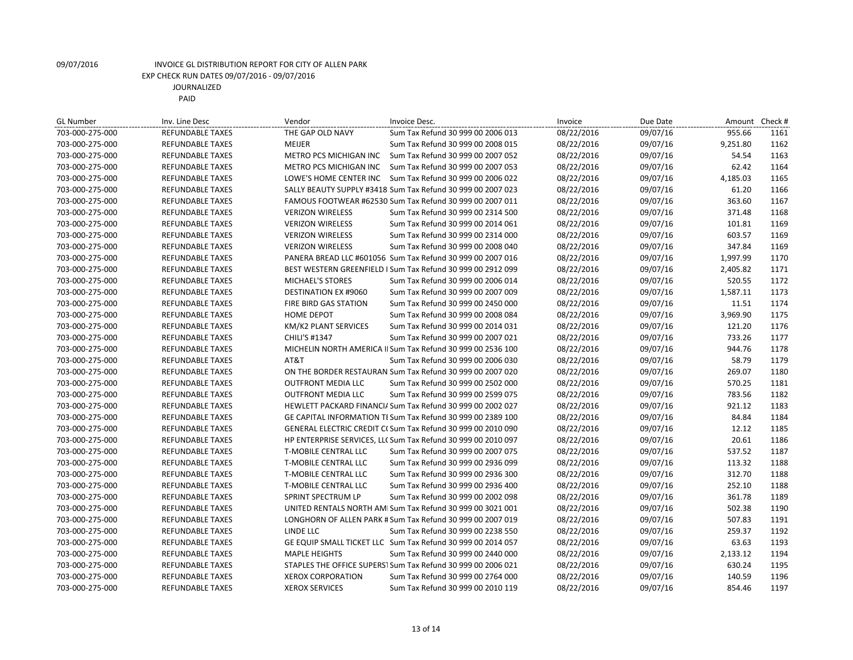| <b>GL Number</b> | Inv. Line Desc          | Vendor                      | Invoice Desc.                                                 | Invoice    | Due Date | Amount   | Check # |
|------------------|-------------------------|-----------------------------|---------------------------------------------------------------|------------|----------|----------|---------|
| 703-000-275-000  | <b>REFUNDABLE TAXES</b> | THE GAP OLD NAVY            | Sum Tax Refund 30 999 00 2006 013                             | 08/22/2016 | 09/07/16 | 955.66   | 1161    |
| 703-000-275-000  | <b>REFUNDABLE TAXES</b> | MEIJER                      | Sum Tax Refund 30 999 00 2008 015                             | 08/22/2016 | 09/07/16 | 9,251.80 | 1162    |
| 703-000-275-000  | <b>REFUNDABLE TAXES</b> | METRO PCS MICHIGAN INC      | Sum Tax Refund 30 999 00 2007 052                             | 08/22/2016 | 09/07/16 | 54.54    | 1163    |
| 703-000-275-000  | <b>REFUNDABLE TAXES</b> | METRO PCS MICHIGAN INC      | Sum Tax Refund 30 999 00 2007 053                             | 08/22/2016 | 09/07/16 | 62.42    | 1164    |
| 703-000-275-000  | <b>REFUNDABLE TAXES</b> | LOWE'S HOME CENTER INC      | Sum Tax Refund 30 999 00 2006 022                             | 08/22/2016 | 09/07/16 | 4,185.03 | 1165    |
| 703-000-275-000  | <b>REFUNDABLE TAXES</b> |                             | SALLY BEAUTY SUPPLY #3418 Sum Tax Refund 30 999 00 2007 023   | 08/22/2016 | 09/07/16 | 61.20    | 1166    |
| 703-000-275-000  | REFUNDABLE TAXES        |                             | FAMOUS FOOTWEAR #62530 Sum Tax Refund 30 999 00 2007 011      | 08/22/2016 | 09/07/16 | 363.60   | 1167    |
| 703-000-275-000  | <b>REFUNDABLE TAXES</b> | <b>VERIZON WIRELESS</b>     | Sum Tax Refund 30 999 00 2314 500                             | 08/22/2016 | 09/07/16 | 371.48   | 1168    |
| 703-000-275-000  | <b>REFUNDABLE TAXES</b> | <b>VERIZON WIRELESS</b>     | Sum Tax Refund 30 999 00 2014 061                             | 08/22/2016 | 09/07/16 | 101.81   | 1169    |
| 703-000-275-000  | <b>REFUNDABLE TAXES</b> | <b>VERIZON WIRELESS</b>     | Sum Tax Refund 30 999 00 2314 000                             | 08/22/2016 | 09/07/16 | 603.57   | 1169    |
| 703-000-275-000  | <b>REFUNDABLE TAXES</b> | <b>VERIZON WIRELESS</b>     | Sum Tax Refund 30 999 00 2008 040                             | 08/22/2016 | 09/07/16 | 347.84   | 1169    |
| 703-000-275-000  | <b>REFUNDABLE TAXES</b> |                             | PANERA BREAD LLC #601056 Sum Tax Refund 30 999 00 2007 016    | 08/22/2016 | 09/07/16 | 1,997.99 | 1170    |
| 703-000-275-000  | <b>REFUNDABLE TAXES</b> |                             | BEST WESTERN GREENFIELD I Sum Tax Refund 30 999 00 2912 099   | 08/22/2016 | 09/07/16 | 2,405.82 | 1171    |
| 703-000-275-000  | <b>REFUNDABLE TAXES</b> | <b>MICHAEL'S STORES</b>     | Sum Tax Refund 30 999 00 2006 014                             | 08/22/2016 | 09/07/16 | 520.55   | 1172    |
| 703-000-275-000  | <b>REFUNDABLE TAXES</b> | <b>DESTINATION EX #9060</b> | Sum Tax Refund 30 999 00 2007 009                             | 08/22/2016 | 09/07/16 | 1,587.11 | 1173    |
| 703-000-275-000  | <b>REFUNDABLE TAXES</b> | FIRE BIRD GAS STATION       | Sum Tax Refund 30 999 00 2450 000                             | 08/22/2016 | 09/07/16 | 11.51    | 1174    |
| 703-000-275-000  | <b>REFUNDABLE TAXES</b> | <b>HOME DEPOT</b>           | Sum Tax Refund 30 999 00 2008 084                             | 08/22/2016 | 09/07/16 | 3,969.90 | 1175    |
| 703-000-275-000  | <b>REFUNDABLE TAXES</b> | KM/K2 PLANT SERVICES        | Sum Tax Refund 30 999 00 2014 031                             | 08/22/2016 | 09/07/16 | 121.20   | 1176    |
| 703-000-275-000  | REFUNDABLE TAXES        | CHILI'S #1347               | Sum Tax Refund 30 999 00 2007 021                             | 08/22/2016 | 09/07/16 | 733.26   | 1177    |
| 703-000-275-000  | <b>REFUNDABLE TAXES</b> |                             | MICHELIN NORTH AMERICA II Sum Tax Refund 30 999 00 2536 100   | 08/22/2016 | 09/07/16 | 944.76   | 1178    |
| 703-000-275-000  | <b>REFUNDABLE TAXES</b> | AT&T                        | Sum Tax Refund 30 999 00 2006 030                             | 08/22/2016 | 09/07/16 | 58.79    | 1179    |
| 703-000-275-000  | <b>REFUNDABLE TAXES</b> |                             | ON THE BORDER RESTAURAN Sum Tax Refund 30 999 00 2007 020     | 08/22/2016 | 09/07/16 | 269.07   | 1180    |
| 703-000-275-000  | <b>REFUNDABLE TAXES</b> | <b>OUTFRONT MEDIA LLC</b>   | Sum Tax Refund 30 999 00 2502 000                             | 08/22/2016 | 09/07/16 | 570.25   | 1181    |
| 703-000-275-000  | <b>REFUNDABLE TAXES</b> | <b>OUTFRONT MEDIA LLC</b>   | Sum Tax Refund 30 999 00 2599 075                             | 08/22/2016 | 09/07/16 | 783.56   | 1182    |
| 703-000-275-000  | <b>REFUNDABLE TAXES</b> |                             | HEWLETT PACKARD FINANCI/ Sum Tax Refund 30 999 00 2002 027    | 08/22/2016 | 09/07/16 | 921.12   | 1183    |
| 703-000-275-000  | <b>REFUNDABLE TAXES</b> |                             | GE CAPITAL INFORMATION TI Sum Tax Refund 30 999 00 2389 100   | 08/22/2016 | 09/07/16 | 84.84    | 1184    |
| 703-000-275-000  | <b>REFUNDABLE TAXES</b> |                             | GENERAL ELECTRIC CREDIT C(Sum Tax Refund 30 999 00 2010 090   | 08/22/2016 | 09/07/16 | 12.12    | 1185    |
| 703-000-275-000  | <b>REFUNDABLE TAXES</b> |                             | HP ENTERPRISE SERVICES, LLC Sum Tax Refund 30 999 00 2010 097 | 08/22/2016 | 09/07/16 | 20.61    | 1186    |
| 703-000-275-000  | <b>REFUNDABLE TAXES</b> | T-MOBILE CENTRAL LLC        | Sum Tax Refund 30 999 00 2007 075                             | 08/22/2016 | 09/07/16 | 537.52   | 1187    |
| 703-000-275-000  | <b>REFUNDABLE TAXES</b> | T-MOBILE CENTRAL LLC        | Sum Tax Refund 30 999 00 2936 099                             | 08/22/2016 | 09/07/16 | 113.32   | 1188    |
| 703-000-275-000  | REFUNDABLE TAXES        | T-MOBILE CENTRAL LLC        | Sum Tax Refund 30 999 00 2936 300                             | 08/22/2016 | 09/07/16 | 312.70   | 1188    |
| 703-000-275-000  | <b>REFUNDABLE TAXES</b> | T-MOBILE CENTRAL LLC        | Sum Tax Refund 30 999 00 2936 400                             | 08/22/2016 | 09/07/16 | 252.10   | 1188    |
| 703-000-275-000  | <b>REFUNDABLE TAXES</b> | SPRINT SPECTRUM LP          | Sum Tax Refund 30 999 00 2002 098                             | 08/22/2016 | 09/07/16 | 361.78   | 1189    |
| 703-000-275-000  | <b>REFUNDABLE TAXES</b> |                             | UNITED RENTALS NORTH AM Sum Tax Refund 30 999 00 3021 001     | 08/22/2016 | 09/07/16 | 502.38   | 1190    |
| 703-000-275-000  | <b>REFUNDABLE TAXES</b> |                             | LONGHORN OF ALLEN PARK # Sum Tax Refund 30 999 00 2007 019    | 08/22/2016 | 09/07/16 | 507.83   | 1191    |
| 703-000-275-000  | <b>REFUNDABLE TAXES</b> | LINDE LLC                   | Sum Tax Refund 30 999 00 2238 550                             | 08/22/2016 | 09/07/16 | 259.37   | 1192    |
| 703-000-275-000  | <b>REFUNDABLE TAXES</b> |                             | GE EQUIP SMALL TICKET LLC Sum Tax Refund 30 999 00 2014 057   | 08/22/2016 | 09/07/16 | 63.63    | 1193    |
| 703-000-275-000  | <b>REFUNDABLE TAXES</b> | <b>MAPLE HEIGHTS</b>        | Sum Tax Refund 30 999 00 2440 000                             | 08/22/2016 | 09/07/16 | 2,133.12 | 1194    |
| 703-000-275-000  | <b>REFUNDABLE TAXES</b> |                             | STAPLES THE OFFICE SUPERSI Sum Tax Refund 30 999 00 2006 021  | 08/22/2016 | 09/07/16 | 630.24   | 1195    |
| 703-000-275-000  | <b>REFUNDABLE TAXES</b> | <b>XEROX CORPORATION</b>    | Sum Tax Refund 30 999 00 2764 000                             | 08/22/2016 | 09/07/16 | 140.59   | 1196    |
| 703-000-275-000  | <b>REFUNDABLE TAXES</b> | <b>XEROX SERVICES</b>       | Sum Tax Refund 30 999 00 2010 119                             | 08/22/2016 | 09/07/16 | 854.46   | 1197    |